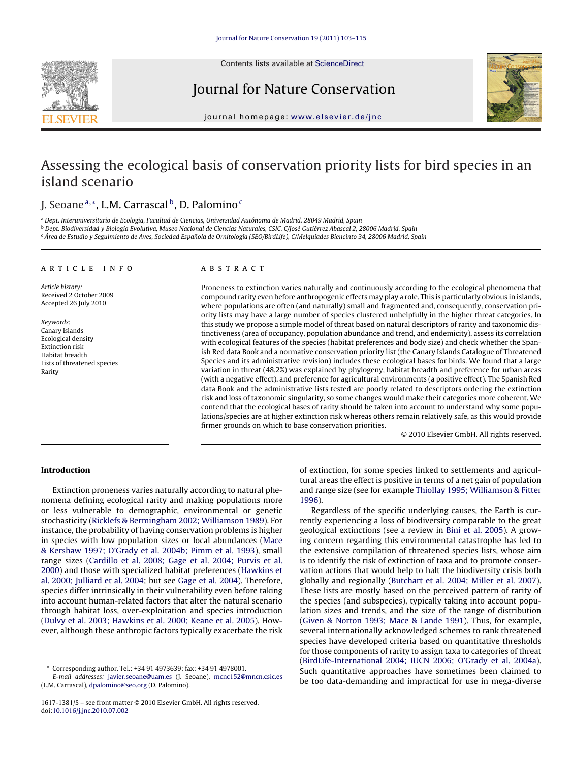

Contents lists available at [ScienceDirect](http://www.sciencedirect.com/science/journal/16171381)

Journal for Nature Conservation



journal homepage: [www.elsevier.de/jnc](http://www.elsevier.de/jnc)

# Assessing the ecological basis of conservation priority lists for bird species in an island scenario

## J. Seoane<sup>a,∗</sup>, L.M. Carrascal<sup>b</sup>, D. Palomino<sup>c</sup>

<sup>a</sup> Dept. Interuniversitario de Ecología, Facultad de Ciencias, Universidad Autónoma de Madrid, 28049 Madrid, Spain

<sup>b</sup> Dept. Biodiversidad y Biología Evolutiva, Museo Nacional de Ciencias Naturales, CSIC, C/José Gutiérrez Abascal 2, 28006 Madrid, Spain <sup>c</sup> Área de Estudio y Seguimiento de Aves, Sociedad Española de Ornitología (SEO/BirdLife), C/Melquíades Biencinto 34, 28006 Madrid, Spain

#### article info

Article history: Received 2 October 2009 Accepted 26 July 2010

Keywords: Canary Islands Ecological density Extinction risk Habitat breadth Lists of threatened species Rarity

## ABSTRACT

Proneness to extinction varies naturally and continuously according to the ecological phenomena that compound rarity even before anthropogenic effects may play a role. This is particularly obvious in islands, where populations are often (and naturally) small and fragmented and, consequently, conservation priority lists may have a large number of species clustered unhelpfully in the higher threat categories. In this study we propose a simple model of threat based on natural descriptors of rarity and taxonomic distinctiveness (area of occupancy, population abundance and trend, and endemicity), assess its correlation with ecological features of the species (habitat preferences and body size) and check whether the Spanish Red data Book and a normative conservation priority list (the Canary Islands Catalogue of Threatened Species and its administrative revision) includes these ecological bases for birds. We found that a large variation in threat (48.2%) was explained by phylogeny, habitat breadth and preference for urban areas (with a negative effect), and preference for agricultural environments (a positive effect). The Spanish Red data Book and the administrative lists tested are poorly related to descriptors ordering the extinction risk and loss of taxonomic singularity, so some changes would make their categories more coherent. We contend that the ecological bases of rarity should be taken into account to understand why some populations/species are at higher extinction risk whereas others remain relatively safe, as this would provide firmer grounds on which to base conservation priorities.

© 2010 Elsevier GmbH. All rights reserved.

## **Introduction**

Extinction proneness varies naturally according to natural phenomena defining ecological rarity and making populations more or less vulnerable to demographic, environmental or genetic stochasticity ([Ricklefs & Bermingham 2002; Williamson 1989\).](#page-12-0) For instance, the probability of having conservation problems is higher in species with low population sizes or local abundances ([Mace](#page-11-0) [& Kershaw 1997; O'Grady et al. 2004b; Pimm et al. 1993\),](#page-11-0) small range sizes ([Cardillo et al. 2008; Gage et al. 2004; Purvis et al.](#page-10-0) [2000\)](#page-10-0) and those with specialized habitat preferences [\(Hawkins et](#page-11-0) [al. 2000; Julliard et al. 2004;](#page-11-0) but see [Gage et al. 2004\).](#page-11-0) Therefore, species differ intrinsically in their vulnerability even before taking into account human-related factors that alter the natural scenario through habitat loss, over-exploitation and species introduction ([Dulvy et al. 2003; Hawkins et al. 2000; Keane et al. 2005\).](#page-11-0) However, although these anthropic factors typically exacerbate the risk

of extinction, for some species linked to settlements and agricultural areas the effect is positive in terms of a net gain of population and range size (see for example [Thiollay 1995; Williamson & Fitter](#page-12-0) [1996\).](#page-12-0)

Regardless of the specific underlying causes, the Earth is currently experiencing a loss of biodiversity comparable to the great geological extinctions (see a review in [Bini et al. 2005\).](#page-10-0) A growing concern regarding this environmental catastrophe has led to the extensive compilation of threatened species lists, whose aim is to identify the risk of extinction of taxa and to promote conservation actions that would help to halt the biodiversity crisis both globally and regionally [\(Butchart et al. 2004; Miller et al. 2007\).](#page-10-0) These lists are mostly based on the perceived pattern of rarity of the species (and subspecies), typically taking into account population sizes and trends, and the size of the range of distribution [\(Given & Norton 1993; Mace & Lande 1991\).](#page-11-0) Thus, for example, several internationally acknowledged schemes to rank threatened species have developed criteria based on quantitative thresholds for those components of rarity to assign taxa to categories of threat [\(BirdLife-International 2004; IUCN 2006; O'Grady et al. 2004a\).](#page-10-0) Such quantitative approaches have sometimes been claimed to be too data-demanding and impractical for use in mega-diverse

<sup>∗</sup> Corresponding author. Tel.: +34 91 4973639; fax: +34 91 4978001.

E-mail addresses: [javier.seoane@uam.es](mailto:javier.seoane@uam.es) (J. Seoane), [mcnc152@mncn.csic.es](mailto:mcnc152@mncn.csic.es) (L.M. Carrascal), [dpalomino@seo.org](mailto:dpalomino@seo.org) (D. Palomino).

<sup>1617-1381/\$ –</sup> see front matter © 2010 Elsevier GmbH. All rights reserved. doi:[10.1016/j.jnc.2010.07.002](dx.doi.org/10.1016/j.jnc.2010.07.002)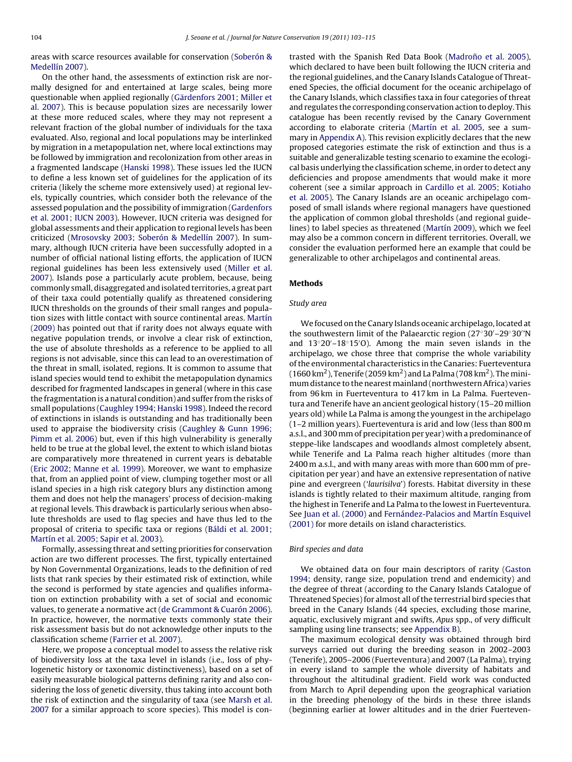areas with scarce resources available for conservation ([Soberón &](#page-12-0) [Medellín 2007\).](#page-12-0)

On the other hand, the assessments of extinction risk are normally designed for and entertained at large scales, being more questionable when applied regionally ([Gärdenfors 2001; Miller et](#page-11-0) [al. 2007\).](#page-11-0) This is because population sizes are necessarily lower at these more reduced scales, where they may not represent a relevant fraction of the global number of individuals for the taxa evaluated. Also, regional and local populations may be interlinked by migration in a metapopulation net, where local extinctions may be followed by immigration and recolonization from other areas in a fragmented landscape [\(Hanski 1998\).](#page-11-0) These issues led the IUCN to define a less known set of guidelines for the application of its criteria (likely the scheme more extensively used) at regional levels, typically countries, which consider both the relevance of the assessed population and the possibility of immigration [\(Gardenfors](#page-11-0) [et al. 2001; IUCN 2003\).](#page-11-0) However, IUCN criteria was designed for global assessments and their application to regional levels has been criticized ([Mrosovsky 2003; Soberón & Medellín 2007\).](#page-12-0) In summary, although IUCN criteria have been successfully adopted in a number of official national listing efforts, the application of IUCN regional guidelines has been less extensively used [\(Miller et al.](#page-12-0) [2007\).](#page-12-0) Islands pose a particularly acute problem, because, being commonly small, disaggregated and isolated territories, a great part of their taxa could potentially qualify as threatened considering IUCN thresholds on the grounds of their small ranges and population sizes with little contact with source continental areas. [Martín](#page-12-0) [\(2009\)](#page-12-0) has pointed out that if rarity does not always equate with negative population trends, or involve a clear risk of extinction, the use of absolute thresholds as a reference to be applied to all regions is not advisable, since this can lead to an overestimation of the threat in small, isolated, regions. It is common to assume that island species would tend to exhibit the metapopulation dynamics described for fragmented landscapes in general (where in this case the fragmentation is a natural condition) and suffer from the risks of small populations ([Caughley 1994; Hanski 1998\).](#page-11-0) Indeed the record of extinctions in islands is outstanding and has traditionally been used to appraise the biodiversity crisis [\(Caughley & Gunn 1996;](#page-11-0) [Pimm et al. 2006\)](#page-11-0) but, even if this high vulnerability is generally held to be true at the global level, the extent to which island biotas are comparatively more threatened in current years is debatable ([Eric 2002; Manne et al. 1999\).](#page-11-0) Moreover, we want to emphasize that, from an applied point of view, clumping together most or all island species in a high risk category blurs any distinction among them and does not help the managers' process of decision-making at regional levels. This drawback is particularly serious when absolute thresholds are used to flag species and have thus led to the proposal of criteria to specific taxa or regions ([Báldi et al. 2001;](#page-10-0) [Martín et al. 2005; Sapir et al. 2003\).](#page-10-0)

Formally, assessing threat and setting priorities for conservation action are two different processes. The first, typically entertained by Non Governmental Organizations, leads to the definition of red lists that rank species by their estimated risk of extinction, while the second is performed by state agencies and qualifies information on extinction probability with a set of social and economic values, to generate a normative act [\(de Grammont & Cuarón 2006\).](#page-11-0) In practice, however, the normative texts commonly state their risk assessment basis but do not acknowledge other inputs to the classification scheme ([Farrier et al. 2007\).](#page-11-0)

Here, we propose a conceptual model to assess the relative risk of biodiversity loss at the taxa level in islands (i.e., loss of phylogenetic history or taxonomic distinctiveness), based on a set of easily measurable biological patterns defining rarity and also considering the loss of genetic diversity, thus taking into account both the risk of extinction and the singularity of taxa (see [Marsh et al.](#page-11-0) [2007](#page-11-0) for a similar approach to score species). This model is contrasted with the Spanish Red Data Book (Madroño et al. 2005), which declared to have been built following the IUCN criteria and the regional guidelines, and the Canary Islands Catalogue of Threatened Species, the official document for the oceanic archipelago of the Canary Islands, which classifies taxa in four categories of threat and regulates the corresponding conservation action to deploy. This catalogue has been recently revised by the Canary Government according to elaborate criteria ([Martín et al. 2005,](#page-11-0) see a summary in [Appendix A\).](#page-7-0) This revision explicitly declares that the new proposed categories estimate the risk of extinction and thus is a suitable and generalizable testing scenario to examine the ecological basis underlying the classification scheme, in order to detect any deficiencies and propose amendments that would make it more coherent (see a similar approach in [Cardillo et al. 2005; Kotiaho](#page-10-0) [et al. 2005\).](#page-10-0) The Canary Islands are an oceanic archipelago composed of small islands where regional managers have questioned the application of common global thresholds (and regional guidelines) to label species as threatened ([Martín 2009\),](#page-12-0) which we feel may also be a common concern in different territories. Overall, we consider the evaluation performed here an example that could be generalizable to other archipelagos and continental areas.

#### **Methods**

#### Study area

We focused on the Canary Islands oceanic archipelago, located at the southwestern limit of the Palaearctic region (27◦30 –29◦30 'N and 13◦20 –18◦15 O). Among the main seven islands in the archipelago, we chose three that comprise the whole variability of the environmental characteristics in the Canaries: Fuerteventura (1660 km<sup>2</sup>), Tenerife (2059 km<sup>2</sup>) and La Palma (708 km<sup>2</sup>). The minimum distance to the nearest mainland (northwestern Africa) varies from 96 km in Fuerteventura to 417 km in La Palma. Fuerteventura and Tenerife have an ancient geological history (15–20 million years old) while La Palma is among the youngest in the archipelago (1–2 million years). Fuerteventura is arid and low (less than 800 m a.s.l., and 300 mm of precipitation per year) with a predominance of steppe-like landscapes and woodlands almost completely absent, while Tenerife and La Palma reach higher altitudes (more than 2400 m a.s.l., and with many areas with more than 600 mm of precipitation per year) and have an extensive representation of native pine and evergreen ('laurisilva') forests. Habitat diversity in these islands is tightly related to their maximum altitude, ranging from the highest in Tenerife and La Palma to the lowest in Fuerteventura. See [Juan et al. \(2000\)](#page-11-0) and [Fernández-Palacios and Martín Esquivel](#page-11-0) [\(2001\)](#page-11-0) for more details on island characteristics.

#### Bird species and data

We obtained data on four main descriptors of rarity [\(Gaston](#page-11-0) [1994;](#page-11-0) density, range size, population trend and endemicity) and the degree of threat (according to the Canary Islands Catalogue of Threatened Species) for almost all of the terrestrial bird species that breed in the Canary Islands (44 species, excluding those marine, aquatic, exclusively migrant and swifts, Apus spp., of very difficult sampling using line transects; see [Appendix B\).](#page-8-0)

The maximum ecological density was obtained through bird surveys carried out during the breeding season in 2002–2003 (Tenerife), 2005–2006 (Fuerteventura) and 2007 (La Palma), trying in every island to sample the whole diversity of habitats and throughout the altitudinal gradient. Field work was conducted from March to April depending upon the geographical variation in the breeding phenology of the birds in these three islands (beginning earlier at lower altitudes and in the drier Fuerteven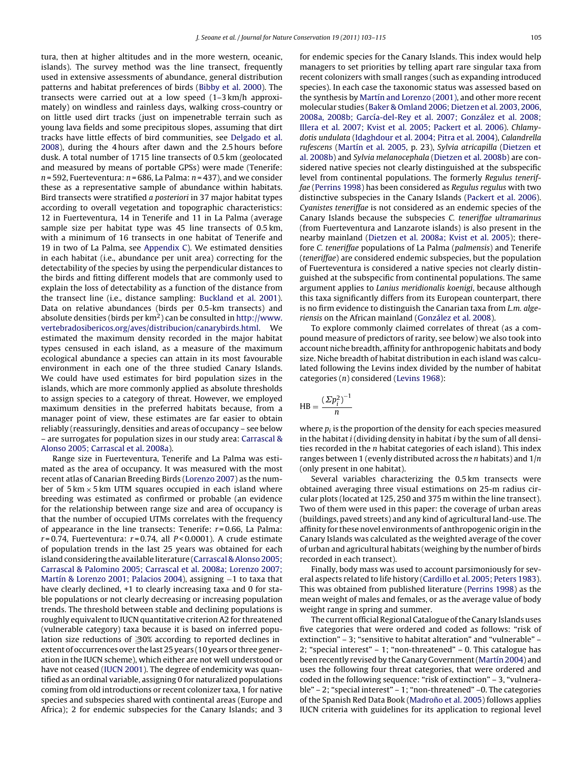tura, then at higher altitudes and in the more western, oceanic, islands). The survey method was the line transect, frequently used in extensive assessments of abundance, general distribution patterns and habitat preferences of birds [\(Bibby et al. 2000\).](#page-10-0) The transects were carried out at a low speed (1–3 km/h approximately) on windless and rainless days, walking cross-country or on little used dirt tracks (just on impenetrable terrain such as young lava fields and some precipitous slopes, assuming that dirt tracks have little effects of bird communities, see [Delgado et al.](#page-11-0) [2008\),](#page-11-0) during the 4 hours after dawn and the 2.5 hours before dusk. A total number of 1715 line transects of 0.5 km (geolocated and measured by means of portable GPSs) were made (Tenerife:  $n = 592$ , Fuerteventura:  $n = 686$ , La Palma:  $n = 437$ ), and we consider these as a representative sample of abundance within habitats. Bird transects were stratified a posteriori in 37 major habitat types according to overall vegetation and topographic characteristics: 12 in Fuerteventura, 14 in Tenerife and 11 in La Palma (average sample size per habitat type was 45 line transects of 0.5 km, with a minimum of 16 transects in one habitat of Tenerife and 19 in two of La Palma, see [Appendix C\).](#page-9-0) We estimated densities in each habitat (i.e., abundance per unit area) correcting for the detectability of the species by using the perpendicular distances to the birds and fitting different models that are commonly used to explain the loss of detectability as a function of the distance from the transect line (i.e., distance sampling: [Buckland et al. 2001\).](#page-10-0) Data on relative abundances (birds per 0.5-km transects) and absolute densities (birds per  $km^2$ ) can be consulted in [http://www.](http://www.vertebradosibericos.org/aves/distribucion/canarybirds.html) [vertebradosibericos.org/aves/distribucion/canarybirds.html](http://www.vertebradosibericos.org/aves/distribucion/canarybirds.html). We estimated the maximum density recorded in the major habitat types censused in each island, as a measure of the maximum ecological abundance a species can attain in its most favourable environment in each one of the three studied Canary Islands. We could have used estimates for bird population sizes in the islands, which are more commonly applied as absolute thresholds to assign species to a category of threat. However, we employed maximum densities in the preferred habitats because, from a manager point of view, these estimates are far easier to obtain reliably (reassuringly, densities and areas of occupancy – see below – are surrogates for population sizes in our study area: [Carrascal &](#page-10-0) [Alonso 2005; Carrascal et al. 2008a\).](#page-10-0)

Range size in Fuerteventura, Tenerife and La Palma was estimated as the area of occupancy. It was measured with the most recent atlas of Canarian Breeding Birds [\(Lorenzo 2007\)](#page-11-0) as the number of  $5 \text{ km} \times 5 \text{ km}$  UTM squares occupied in each island where breeding was estimated as confirmed or probable (an evidence for the relationship between range size and area of occupancy is that the number of occupied UTMs correlates with the frequency of appearance in the line transects: Tenerife:  $r = 0.66$ , La Palma:  $r = 0.74$ , Fuerteventura:  $r = 0.74$ , all  $P < 0.0001$ ). A crude estimate of population trends in the last 25 years was obtained for each island considering the available literature ([Carrascal & Alonso 2005;](#page-10-0) [Carrascal & Palomino 2005; Carrascal et al. 2008a; Lorenzo 2007;](#page-10-0) [Martín & Lorenzo 2001; Palacios 2004\),](#page-10-0) assigning −1 to taxa that have clearly declined, +1 to clearly increasing taxa and 0 for stable populations or not clearly decreasing or increasing population trends. The threshold between stable and declining populations is roughly equivalent to IUCN quantitative criterion A2 for threatened (vulnerable category) taxa because it is based on inferred population size reductions of  $\geq 30\%$  according to reported declines in extent of occurrences over the last 25 years (10 years or three generation in the IUCN scheme), which either are not well understood or have not ceased [\(IUCN 2001\).](#page-11-0) The degree of endemicity was quantified as an ordinal variable, assigning 0 for naturalized populations coming from old introductions or recent colonizer taxa, 1 for native species and subspecies shared with continental areas (Europe and Africa); 2 for endemic subspecies for the Canary Islands; and 3

for endemic species for the Canary Islands. This index would help managers to set priorities by telling apart rare singular taxa from recent colonizers with small ranges (such as expanding introduced species). In each case the taxonomic status was assessed based on the synthesis by [Martín and Lorenzo \(2001\), a](#page-11-0)nd other more recent molecular studies ([Baker & Omland 2006; Dietzen et al. 2003, 2006,](#page-10-0) [2008a, 2008b; García-del-Rey et al. 2007; González et al. 2008;](#page-10-0) [Illera et al. 2007; Kvist et al. 2005; Packert et al. 2006\).](#page-10-0) Chlamydotis undulata [\(Idaghdour et al. 2004; Pitra et al. 2004\),](#page-11-0) Calandrella rufescens [\(Martín et al. 2005, p](#page-11-0). 23), Sylvia atricapilla ([Dietzen et](#page-11-0) [al. 2008b\) a](#page-11-0)nd Sylvia melanocephala [\(Dietzen et al. 2008b\) a](#page-11-0)re considered native species not clearly distinguished at the subspecific level from continental populations. The formerly Regulus teneriffae [\(Perrins 1998\)](#page-12-0) has been considered as Regulus regulus with two distinctive subspecies in the Canary Islands ([Packert et al. 2006\).](#page-12-0) Cyanistes teneriffae is not considered as an endemic species of the Canary Islands because the subspecies C. teneriffae ultramarinus (from Fuerteventura and Lanzarote islands) is also present in the nearby mainland ([Dietzen et al. 2008a; Kvist et al. 2005\);](#page-11-0) therefore C. teneriffae populations of La Palma (palmensis) and Tenerife (teneriffae) are considered endemic subspecies, but the population of Fuerteventura is considered a native species not clearly distinguished at the subspecific from continental populations. The same argument applies to Lanius meridionalis koenigi, because although this taxa significantly differs from its European counterpart, there is no firm evidence to distinguish the Canarian taxa from L.m. algeriensis on the African mainland [\(González et al. 2008\).](#page-11-0)

To explore commonly claimed correlates of threat (as a compound measure of predictors of rarity, see below) we also took into account niche breadth, affinity for anthropogenic habitats and body size. Niche breadth of habitat distribution in each island was calculated following the Levins index divided by the number of habitat categories (n) considered [\(Levins 1968\):](#page-11-0)

$$
HB = \frac{\left(\sum p_i^2\right)^{-1}}{n}
$$

where  $p_i$  is the proportion of the density for each species measured in the habitat  $i$  (dividing density in habitat  $i$  by the sum of all densities recorded in the  $n$  habitat categories of each island). This index ranges between 1 (evenly distributed across the *n* habitats) and  $1/n$ (only present in one habitat).

Several variables characterizing the 0.5 km transects were obtained averaging three visual estimations on 25-m radius circular plots (located at 125, 250 and 375 m within the line transect). Two of them were used in this paper: the coverage of urban areas (buildings, paved streets) and any kind of agricultural land-use. The affinity for these novel environments of anthropogenic origin in the Canary Islands was calculated as the weighted average of the cover of urban and agricultural habitats (weighing by the number of birds recorded in each transect).

Finally, body mass was used to account parsimoniously for several aspects related to life history ([Cardillo et al. 2005; Peters 1983\).](#page-10-0) This was obtained from published literature ([Perrins 1998\)](#page-12-0) as the mean weight of males and females, or as the average value of body weight range in spring and summer.

The current official Regional Catalogue of the Canary Islands uses five categories that were ordered and coded as follows: "risk of extinction" – 3; "sensitive to habitat alteration" and "vulnerable" – 2; "special interest" – 1; "non-threatened" – 0. This catalogue has been recently revised by the Canary Government ([Martín 2004\) a](#page-11-0)nd uses the following four threat categories, that were ordered and coded in the following sequence: "risk of extinction" – 3, "vulnerable" – 2; "special interest" – 1; "non-threatened" –0. The categories of the Spanish Red Data Book (Madroño et al. 2005) follows applies IUCN criteria with guidelines for its application to regional level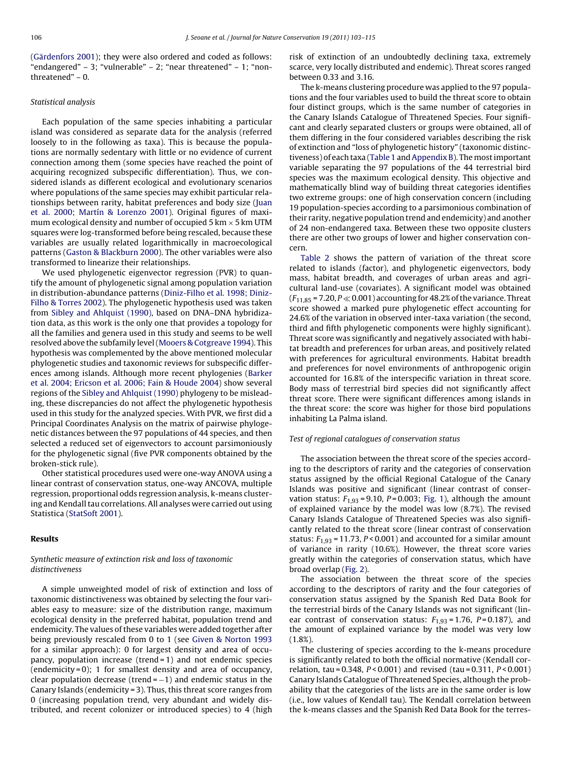([Gärdenfors 2001\);](#page-11-0) they were also ordered and coded as follows: "endangered" – 3; "vulnerable" – 2; "near threatened" – 1; "nonthreatened" – 0.

## Statistical analysis

Each population of the same species inhabiting a particular island was considered as separate data for the analysis (referred loosely to in the following as taxa). This is because the populations are normally sedentary with little or no evidence of current connection among them (some species have reached the point of acquiring recognized subspecific differentiation). Thus, we considered islands as different ecological and evolutionary scenarios where populations of the same species may exhibit particular relationships between rarity, habitat preferences and body size ([Juan](#page-11-0) [et al. 2000; Martín & Lorenzo 2001\).](#page-11-0) Original figures of maximum ecological density and number of occupied 5 km  $\times$  5 km UTM squares were log-transformed before being rescaled, because these variables are usually related logarithmically in macroecological patterns ([Gaston & Blackburn 2000\).](#page-11-0) The other variables were also transformed to linearize their relationships.

We used phylogenetic eigenvector regression (PVR) to quantify the amount of phylogenetic signal among population variation in distribution-abundance patterns ([Diniz-Filho et al. 1998; Diniz-](#page-11-0)Filho [& Torres 2002\).](#page-11-0) The phylogenetic hypothesis used was taken from [Sibley and Ahlquist \(1990\), b](#page-12-0)ased on DNA–DNA hybridization data, as this work is the only one that provides a topology for all the families and genera used in this study and seems to be well resolved above the subfamily level [\(Mooers & Cotgreave 1994\).](#page-12-0) This hypothesis was complemented by the above mentioned molecular phylogenetic studies and taxonomic reviews for subspecific differences among islands. Although more recent phylogenies [\(Barker](#page-10-0) [et al. 2004; Ericson et al. 2006; Fain & Houde 2004\)](#page-10-0) show several regions of the [Sibley and Ahlquist \(1990\)](#page-12-0) phylogeny to be misleading, these discrepancies do not affect the phylogenetic hypothesis used in this study for the analyzed species. With PVR, we first did a Principal Coordinates Analysis on the matrix of pairwise phylogenetic distances between the 97 populations of 44 species, and then selected a reduced set of eigenvectors to account parsimoniously for the phylogenetic signal (five PVR components obtained by the broken-stick rule).

Other statistical procedures used were one-way ANOVA using a linear contrast of conservation status, one-way ANCOVA, multiple regression, proportional odds regression analysis, k-means clustering and Kendall tau correlations. All analyses were carried out using Statistica ([StatSoft 2001\).](#page-12-0)

## **Results**

## Synthetic measure of extinction risk and loss of taxonomic distinctiveness

A simple unweighted model of risk of extinction and loss of taxonomic distinctiveness was obtained by selecting the four variables easy to measure: size of the distribution range, maximum ecological density in the preferred habitat, population trend and endemicity. The values of these variables were added together after being previously rescaled from 0 to 1 (see [Given & Norton 1993](#page-11-0) for a similar approach): 0 for largest density and area of occupancy, population increase (trend = 1) and not endemic species (endemicity = 0); 1 for smallest density and area of occupancy, clear population decrease (trend =  $-1$ ) and endemic status in the Canary Islands (endemicity = 3). Thus, this threat score ranges from 0 (increasing population trend, very abundant and widely distributed, and recent colonizer or introduced species) to 4 (high

risk of extinction of an undoubtedly declining taxa, extremely scarce, very locally distributed and endemic). Threat scores ranged between 0.33 and 3.16.

The k-means clustering procedure was applied to the 97 populations and the four variables used to build the threat score to obtain four distinct groups, which is the same number of categories in the Canary Islands Catalogue of Threatened Species. Four significant and clearly separated clusters or groups were obtained, all of them differing in the four considered variables describing the risk of extinction and "loss of phylogenetic history" (taxonomic distinc-tiveness) of each taxa [\(Table 1](#page-4-0) and [Appendix B\).](#page-8-0) The most important variable separating the 97 populations of the 44 terrestrial bird species was the maximum ecological density. This objective and mathematically blind way of building threat categories identifies two extreme groups: one of high conservation concern (including 19 population-species according to a parsimonious combination of their rarity, negative population trend and endemicity) and another of 24 non-endangered taxa. Between these two opposite clusters there are other two groups of lower and higher conservation concern.

[Table 2](#page-4-0) shows the pattern of variation of the threat score related to islands (factor), and phylogenetic eigenvectors, body mass, habitat breadth, and coverages of urban areas and agricultural land-use (covariates). A significant model was obtained  $(F_{11,85} = 7.20, P \ll 0.001)$  accounting for 48.2% of the variance. Threat score showed a marked pure phylogenetic effect accounting for 24.6% of the variation in observed inter-taxa variation (the second, third and fifth phylogenetic components were highly significant). Threat score was significantly and negatively associated with habitat breadth and preferences for urban areas, and positively related with preferences for agricultural environments. Habitat breadth and preferences for novel environments of anthropogenic origin accounted for 16.8% of the interspecific variation in threat score. Body mass of terrestrial bird species did not significantly affect threat score. There were significant differences among islands in the threat score: the score was higher for those bird populations inhabiting La Palma island.

#### Test of regional catalogues of conservation status

The association between the threat score of the species according to the descriptors of rarity and the categories of conservation status assigned by the official Regional Catalogue of the Canary Islands was positive and significant (linear contrast of conservation status:  $F_{1,93} = 9.10$ ,  $P = 0.003$ ; [Fig. 1\),](#page-5-0) although the amount of explained variance by the model was low (8.7%). The revised Canary Islands Catalogue of Threatened Species was also significantly related to the threat score (linear contrast of conservation status:  $F_{1,93}$  = 11.73, P < 0.001) and accounted for a similar amount of variance in rarity (10.6%). However, the threat score varies greatly within the categories of conservation status, which have broad overlap [\(Fig. 2\).](#page-5-0)

The association between the threat score of the species according to the descriptors of rarity and the four categories of conservation status assigned by the Spanish Red Data Book for the terrestrial birds of the Canary Islands was not significant (linear contrast of conservation status:  $F_{1,93} = 1.76$ ,  $P = 0.187$ ), and the amount of explained variance by the model was very low (1.8%).

The clustering of species according to the k-means procedure is significantly related to both the official normative (Kendall correlation, tau = 0.348,  $P < 0.001$ ) and revised (tau = 0.311,  $P < 0.001$ ) Canary Islands Catalogue of Threatened Species, although the probability that the categories of the lists are in the same order is low (i.e., low values of Kendall tau). The Kendall correlation between the k-means classes and the Spanish Red Data Book for the terres-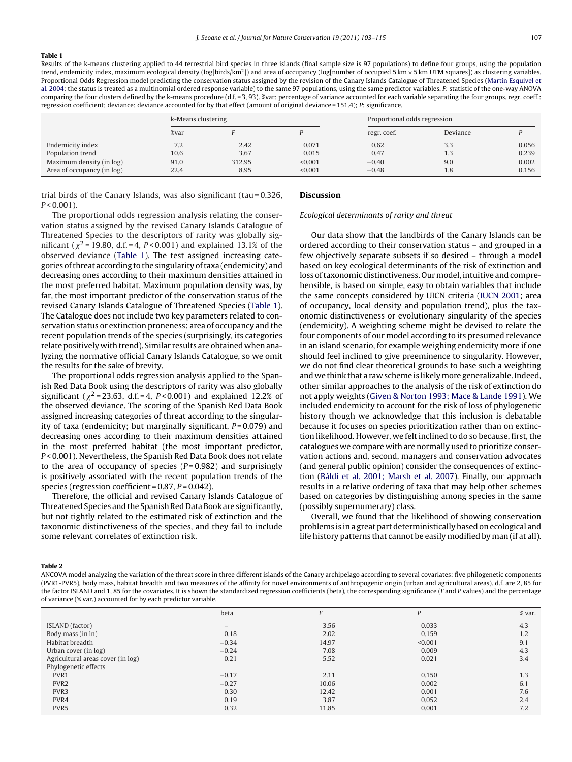#### <span id="page-4-0"></span>**Table 1**

Results of the k-means clustering applied to 44 terrestrial bird species in three islands (final sample size is 97 populations) to define four groups, using the population trend, endemicity index, maximum ecological density (log[birds/km<sup>2</sup>]) and area of occupancy (log[number of occupied 5 km  $\times$  5 km UTM squares]) as clustering variables. Proportional Odds Regression model predicting the conservation status assigned by the revision of the Canary Islands Catalogue of Threatened Species ([Martín Esquivel et](#page-11-0) [al. 2004; t](#page-11-0)he status is treated as a multinomial ordered response variable) to the same 97 populations, using the same predictor variables. F: statistic of the one-way ANOVA comparing the four clusters defined by the k-means procedure (d.f. = 3, 93). %var: percentage of variance accounted for each variable separating the four groups. regr. coeff.: regression coefficient; deviance: deviance accounted for by that effect (amount of original deviance = 151.4); P: significance.

|                            | k-Means clustering |        |         |             | Proportional odds regression |       |  |  |  |  |
|----------------------------|--------------------|--------|---------|-------------|------------------------------|-------|--|--|--|--|
|                            | %var               |        |         | regr. coef. | Deviance                     |       |  |  |  |  |
| Endemicity index           | 7.2                | 2.42   | 0.071   | 0.62        | 3.3                          | 0.056 |  |  |  |  |
| Population trend           | 10.6               | 3.67   | 0.015   | 0.47        | 1.3                          | 0.239 |  |  |  |  |
| Maximum density (in log)   | 91.0               | 312.95 | < 0.001 | $-0.40$     | 9.0                          | 0.002 |  |  |  |  |
| Area of occupancy (in log) | 22.4               | 8.95   | < 0.001 | $-0.48$     | 1.8                          | 0.156 |  |  |  |  |

trial birds of the Canary Islands, was also significant (tau = 0.326,  $P < 0.001$ ).

The proportional odds regression analysis relating the conservation status assigned by the revised Canary Islands Catalogue of Threatened Species to the descriptors of rarity was globally significant ( $\chi^2$  = 19.80, d.f. = 4, P < 0.001) and explained 13.1% of the observed deviance (Table 1). The test assigned increasing categories of threat according to the singularity of taxa (endemicity) and decreasing ones according to their maximum densities attained in the most preferred habitat. Maximum population density was, by far, the most important predictor of the conservation status of the revised Canary Islands Catalogue of Threatened Species (Table 1). The Catalogue does not include two key parameters related to conservation status or extinction proneness: area of occupancy and the recent population trends of the species (surprisingly, its categories relate positively with trend). Similar results are obtained when analyzing the normative official Canary Islands Catalogue, so we omit the results for the sake of brevity.

The proportional odds regression analysis applied to the Spanish Red Data Book using the descriptors of rarity was also globally significant ( $\chi^2$  = 23.63, d.f. = 4, P < 0.001) and explained 12.2% of the observed deviance. The scoring of the Spanish Red Data Book assigned increasing categories of threat according to the singularity of taxa (endemicity; but marginally significant,  $P = 0.079$ ) and decreasing ones according to their maximum densities attained in the most preferred habitat (the most important predictor, P < 0.001). Nevertheless, the Spanish Red Data Book does not relate to the area of occupancy of species  $(P=0.982)$  and surprisingly is positively associated with the recent population trends of the species (regression coefficient =  $0.87$ ,  $P = 0.042$ ).

Therefore, the official and revised Canary Islands Catalogue of Threatened Species and the Spanish Red Data Book are significantly, but not tightly related to the estimated risk of extinction and the taxonomic distinctiveness of the species, and they fail to include some relevant correlates of extinction risk.

#### **Discussion**

#### Ecological determinants of rarity and threat

Our data show that the landbirds of the Canary Islands can be ordered according to their conservation status – and grouped in a few objectively separate subsets if so desired – through a model based on key ecological determinants of the risk of extinction and loss of taxonomic distinctiveness. Our model, intuitive and comprehensible, is based on simple, easy to obtain variables that include the same concepts considered by UICN criteria ([IUCN 2001;](#page-11-0) area of occupancy, local density and population trend), plus the taxonomic distinctiveness or evolutionary singularity of the species (endemicity). A weighting scheme might be devised to relate the four components of our model according to its presumed relevance in an island scenario, for example weighing endemicity more if one should feel inclined to give preeminence to singularity. However, we do not find clear theoretical grounds to base such a weighting and we think that a raw scheme is likelymore generalizable. Indeed, other similar approaches to the analysis of the risk of extinction do not apply weights [\(Given & Norton 1993; Mace & Lande 1991\).](#page-11-0) We included endemicity to account for the risk of loss of phylogenetic history though we acknowledge that this inclusion is debatable because it focuses on species prioritization rather than on extinction likelihood. However, we felt inclined to do so because, first, the catalogues we compare with are normally used to prioritize conservation actions and, second, managers and conservation advocates (and general public opinion) consider the consequences of extinction ([Báldi et al. 2001; Marsh et al. 2007\).](#page-10-0) Finally, our approach results in a relative ordering of taxa that may help other schemes based on categories by distinguishing among species in the same (possibly supernumerary) class.

Overall, we found that the likelihood of showing conservation problems is in a great part deterministically based on ecological and life history patterns that cannot be easily modified by man (if at all).

#### **Table 2**

ANCOVA model analyzing the variation of the threat score in three different islands of the Canary archipelago according to several covariates: five philogenetic components (PVR1-PVR5), body mass, habitat breadth and two measures of the affinity for novel environments of anthropogenic origin (urban and agricultural areas). d.f. are 2, 85 for the factor ISLAND and 1, 85 for the covariates. It is shown the standardized regression coefficients (beta), the corresponding significance (F and P values) and the percentage of variance (% var.) accounted for by each predictor variable.

| beta                         |       | P       | $%$ var. |
|------------------------------|-------|---------|----------|
| $\qquad \qquad \blacksquare$ | 3.56  | 0.033   | 4.3      |
| 0.18                         | 2.02  | 0.159   | 1.2      |
| $-0.34$                      | 14.97 | < 0.001 | 9.1      |
| $-0.24$                      | 7.08  | 0.009   | 4.3      |
| 0.21                         | 5.52  | 0.021   | 3.4      |
|                              |       |         |          |
| $-0.17$                      | 2.11  | 0.150   | 1.3      |
| $-0.27$                      | 10.06 | 0.002   | 6.1      |
| 0.30                         | 12.42 | 0.001   | 7.6      |
| 0.19                         | 3.87  | 0.052   | 2.4      |
| 0.32                         | 11.85 | 0.001   | 7.2      |
|                              |       |         |          |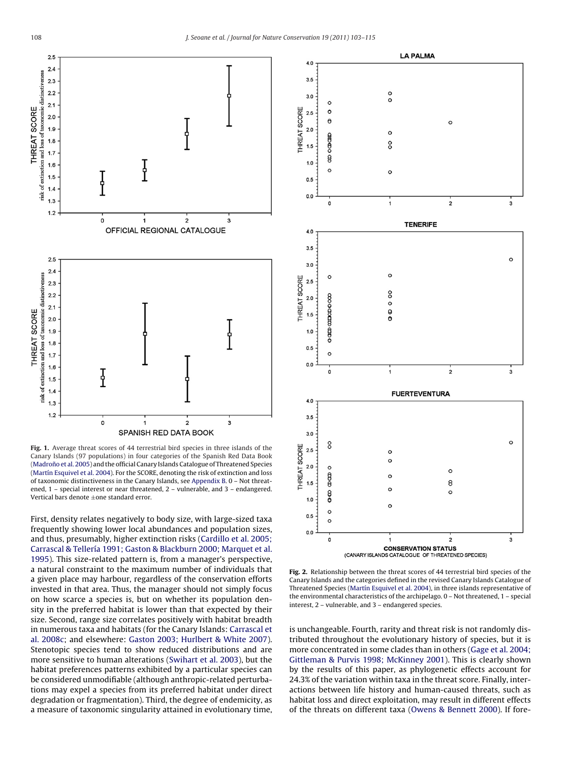<span id="page-5-0"></span>

**Fig. 1.** Average threat scores of 44 terrestrial bird species in three islands of the Canary Islands (97 populations) in four categories of the Spanish Red Data Book (Madroño et al. 2005) and the official Canary Islands Catalogue of Threatened Species [\(Martín Esquivel et al. 2004\).](#page-11-0) For the SCORE, denoting the risk of extinction and loss of taxonomic distinctiveness in the Canary Islands, see [Appendix B. 0](#page-8-0) – Not threatened, 1 – special interest or near threatened, 2 – vulnerable, and 3 – endangered. Vertical bars denote ±one standard error.

First, density relates negatively to body size, with large-sized taxa frequently showing lower local abundances and population sizes, and thus, presumably, higher extinction risks [\(Cardillo et al. 2005;](#page-10-0) [Carrascal & Tellería 1991; Gaston & Blackburn 2000; Marquet et al.](#page-10-0) [1995\).](#page-10-0) This size-related pattern is, from a manager's perspective, a natural constraint to the maximum number of individuals that a given place may harbour, regardless of the conservation efforts invested in that area. Thus, the manager should not simply focus on how scarce a species is, but on whether its population density in the preferred habitat is lower than that expected by their size. Second, range size correlates positively with habitat breadth in numerous taxa and habitats (for the Canary Islands: [Carrascal et](#page-11-0) [al. 2008c;](#page-11-0) and elsewhere: [Gaston 2003; Hurlbert & White 2007\).](#page-11-0) Stenotopic species tend to show reduced distributions and are more sensitive to human alterations [\(Swihart et al. 2003\),](#page-12-0) but the habitat preferences patterns exhibited by a particular species can be considered unmodifiable (although anthropic-related perturbations may expel a species from its preferred habitat under direct degradation or fragmentation). Third, the degree of endemicity, as a measure of taxonomic singularity attained in evolutionary time,



**Fig. 2.** Relationship between the threat scores of 44 terrestrial bird species of the Canary Islands and the categories defined in the revised Canary Islands Catalogue of Threatened Species ([Martín Esquivel et al. 2004\),](#page-11-0) in three islands representative of the environmental characteristics of the archipelago. 0 – Not threatened, 1 – special interest, 2 – vulnerable, and 3 – endangered species.

is unchangeable. Fourth, rarity and threat risk is not randomly distributed throughout the evolutionary history of species, but it is more concentrated in some clades than in others [\(Gage et al. 2004;](#page-11-0) [Gittleman & Purvis 1998; McKinney 2001\).](#page-11-0) This is clearly shown by the results of this paper, as phylogenetic effects account for 24.3% of the variation within taxa in the threat score. Finally, interactions between life history and human-caused threats, such as habitat loss and direct exploitation, may result in different effects of the threats on different taxa [\(Owens & Bennett 2000\).](#page-12-0) If fore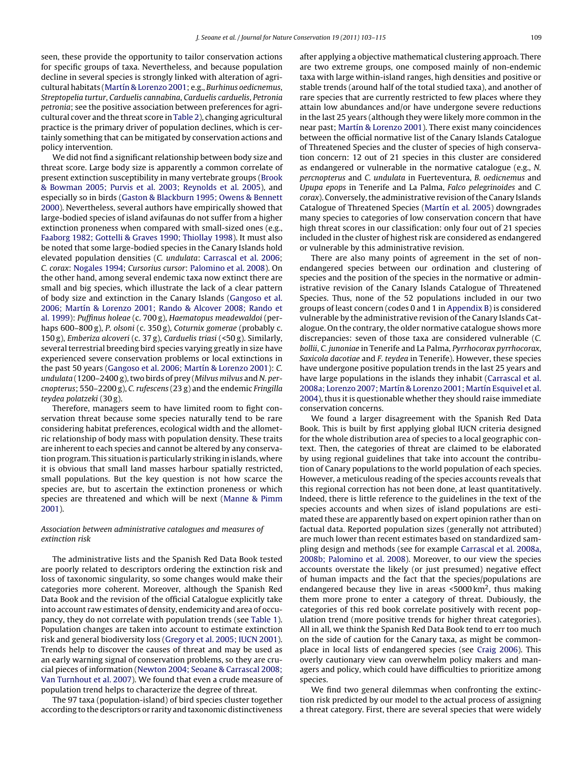seen, these provide the opportunity to tailor conservation actions for specific groups of taxa. Nevertheless, and because population decline in several species is strongly linked with alteration of agricultural habitats [\(Martín & Lorenzo 2001; e](#page-11-0).g., Burhinus oedicnemus, Streptopelia turtur, Carduelis cannabina, Carduelis carduelis, Petronia petronia; see the positive association between preferences for agricultural cover and the threat score in [Table 2\),](#page-4-0) changing agricultural practice is the primary driver of population declines, which is certainly something that can be mitigated by conservation actions and policy intervention.

We did not find a significant relationship between body size and threat score. Large body size is apparently a common correlate of present extinction susceptibility in many vertebrate groups ([Brook](#page-10-0) [& Bowman 2005; Purvis et al. 2003; Reynolds et al. 2005\),](#page-10-0) and especially so in birds ([Gaston & Blackburn 1995; Owens & Bennett](#page-11-0) [2000\).](#page-11-0) Nevertheless, several authors have empirically showed that large-bodied species of island avifaunas do not suffer from a higher extinction proneness when compared with small-sized ones (e.g., [Faaborg 1982; Gottelli & Graves 1990; Thiollay 1998\).](#page-11-0) It must also be noted that some large-bodied species in the Canary Islands hold elevated population densities (C. undulata: [Carrascal et al. 2006;](#page-11-0) C. corax: [Nogales 1994;](#page-12-0) Cursorius cursor: [Palomino et al. 2008\).](#page-12-0) On the other hand, among several endemic taxa now extinct there are small and big species, which illustrate the lack of a clear pattern of body size and extinction in the Canary Islands ([Gangoso et al.](#page-11-0) [2006; Martín & Lorenzo 2001; Rando & Alcover 2008; Rando et](#page-11-0) [al. 1999\):](#page-11-0) Puffinus holeae (c. 700 g), Haematopus meadewaldoi (perhaps 600–800 g), P. olsoni (c. 350 g), Coturnix gomerae (probably c. 150 g), Emberiza alcoveri (c. 37 g), Carduelis triasi (<50 g). Similarly, several terrestrial breeding bird species varying greatly in size have experienced severe conservation problems or local extinctions in the past 50 years ([Gangoso et al. 2006; Martín & Lorenzo 2001\):](#page-11-0) C. undulata (1200–2400 g), two birds of prey (Milvus milvus and N. percnopterus; 550–2200 g), C. rufescens (23 g) and the endemic Fringilla teydea polatzeki (30 g).

Therefore, managers seem to have limited room to fight conservation threat because some species naturally tend to be rare considering habitat preferences, ecological width and the allometric relationship of body mass with population density. These traits are inherent to each species and cannot be altered by any conservation program. This situation is particularly striking in islands, where it is obvious that small land masses harbour spatially restricted, small populations. But the key question is not how scarce the species are, but to ascertain the extinction proneness or which species are threatened and which will be next ([Manne & Pimm](#page-11-0) [2001\).](#page-11-0)

## Association between administrative catalogues and measures of extinction risk

The administrative lists and the Spanish Red Data Book tested are poorly related to descriptors ordering the extinction risk and loss of taxonomic singularity, so some changes would make their categories more coherent. Moreover, although the Spanish Red Data Book and the revision of the official Catalogue explicitly take into account raw estimates of density, endemicity and area of occupancy, they do not correlate with population trends (see [Table 1\).](#page-4-0) Population changes are taken into account to estimate extinction risk and general biodiversity loss [\(Gregory et al. 2005; IUCN 2001\).](#page-11-0) Trends help to discover the causes of threat and may be used as an early warning signal of conservation problems, so they are crucial pieces of information [\(Newton 2004; Seoane & Carrascal 2008;](#page-12-0) [Van Turnhout et al. 2007\).](#page-12-0) We found that even a crude measure of population trend helps to characterize the degree of threat.

The 97 taxa (population-island) of bird species cluster together according to the descriptors or rarity and taxonomic distinctiveness after applying a objective mathematical clustering approach. There are two extreme groups, one composed mainly of non-endemic taxa with large within-island ranges, high densities and positive or stable trends (around half of the total studied taxa), and another of rare species that are currently restricted to few places where they attain low abundances and/or have undergone severe reductions in the last 25 years (although they were likely more common in the near past; [Martín & Lorenzo 2001\).](#page-11-0) There exist many coincidences between the official normative list of the Canary Islands Catalogue of Threatened Species and the cluster of species of high conservation concern: 12 out of 21 species in this cluster are considered as endangered or vulnerable in the normative catalogue (e.g., N. percnopterus and C. undulata in Fuerteventura, B. oedicnemus and Upupa epops in Tenerife and La Palma, Falco pelegrinoides and C. corax). Conversely, the administrative revision of the Canary Islands Catalogue of Threatened Species [\(Martín et al. 2005\)](#page-11-0) downgrades many species to categories of low conservation concern that have high threat scores in our classification: only four out of 21 species included in the cluster of highest risk are considered as endangered or vulnerable by this administrative revision.

There are also many points of agreement in the set of nonendangered species between our ordination and clustering of species and the position of the species in the normative or administrative revision of the Canary Islands Catalogue of Threatened Species. Thus, none of the 52 populations included in our two groups of least concern (codes 0 and 1 in [Appendix B\)](#page-8-0) is considered vulnerable by the administrative revision of the Canary Islands Catalogue. On the contrary, the older normative catalogue shows more discrepancies: seven of those taxa are considered vulnerable (C. bollii, C. junoniae in Tenerife and La Palma, Pyrrhocorax pyrrhocorax, Saxicola dacotiae and F. teydea in Tenerife). However, these species have undergone positive population trends in the last 25 years and have large populations in the islands they inhabit ([Carrascal et al.](#page-11-0) [2008a; Lorenzo 2007; Martín & Lorenzo 2001; Martín Esquivel et al.](#page-11-0) [2004\),](#page-11-0) thus it is questionable whether they should raise immediate conservation concerns.

We found a larger disagreement with the Spanish Red Data Book. This is built by first applying global IUCN criteria designed for the whole distribution area of species to a local geographic context. Then, the categories of threat are claimed to be elaborated by using regional guidelines that take into account the contribution of Canary populations to the world population of each species. However, a meticulous reading of the species accounts reveals that this regional correction has not been done, at least quantitatively. Indeed, there is little reference to the guidelines in the text of the species accounts and when sizes of island populations are estimated these are apparently based on expert opinion rather than on factual data. Reported population sizes (generally not attributed) are much lower than recent estimates based on standardized sampling design and methods (see for example [Carrascal et al. 2008a,](#page-11-0) [2008b; Palomino et al. 2008\).](#page-11-0) Moreover, to our view the species accounts overstate the likely (or just presumed) negative effect of human impacts and the fact that the species/populations are endangered because they live in areas <5000 km<sup>2</sup>, thus making them more prone to enter a category of threat. Dubiously, the categories of this red book correlate positively with recent population trend (more positive trends for higher threat categories). All in all, we think the Spanish Red Data Book tend to err too much on the side of caution for the Canary taxa, as might be commonplace in local lists of endangered species (see [Craig 2006\).](#page-11-0) This overly cautionary view can overwhelm policy makers and managers and policy, which could have difficulties to prioritize among species.

We find two general dilemmas when confronting the extinction risk predicted by our model to the actual process of assigning a threat category. First, there are several species that were widely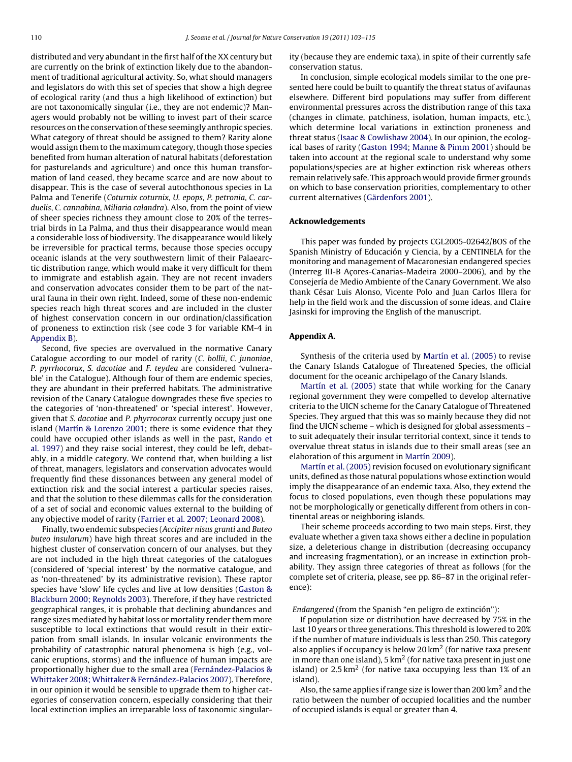<span id="page-7-0"></span>distributed and very abundant in the first half of the XX century but are currently on the brink of extinction likely due to the abandonment of traditional agricultural activity. So, what should managers and legislators do with this set of species that show a high degree of ecological rarity (and thus a high likelihood of extinction) but are not taxonomically singular (i.e., they are not endemic)? Managers would probably not be willing to invest part of their scarce resources on the conservation of these seemingly anthropic species. What category of threat should be assigned to them? Rarity alone would assign them to the maximum category, though those species benefited from human alteration of natural habitats (deforestation for pasturelands and agriculture) and once this human transformation of land ceased, they became scarce and are now about to disappear. This is the case of several autochthonous species in La Palma and Tenerife (Coturnix coturnix, U. epops, P. petronia, C. carduelis, C. cannabina, Miliaria calandra). Also, from the point of view of sheer species richness they amount close to 20% of the terrestrial birds in La Palma, and thus their disappearance would mean a considerable loss of biodiversity. The disappearance would likely be irreversible for practical terms, because those species occupy oceanic islands at the very southwestern limit of their Palaearctic distribution range, which would make it very difficult for them to immigrate and establish again. They are not recent invaders and conservation advocates consider them to be part of the natural fauna in their own right. Indeed, some of these non-endemic species reach high threat scores and are included in the cluster of highest conservation concern in our ordination/classification of proneness to extinction risk (see code 3 for variable KM-4 in [Appendix B\).](#page-8-0)

Second, five species are overvalued in the normative Canary Catalogue according to our model of rarity (C. bollii, C. junoniae, P. pyrrhocorax, S. dacotiae and F. teydea are considered 'vulnerable' in the Catalogue). Although four of them are endemic species, they are abundant in their preferred habitats. The administrative revision of the Canary Catalogue downgrades these five species to the categories of 'non-threatened' or 'special interest'. However, given that S. dacotiae and P. phyrrocorax currently occupy just one island ([Martín & Lorenzo 2001;](#page-11-0) there is some evidence that they could have occupied other islands as well in the past, [Rando et](#page-12-0) [al. 1997\)](#page-12-0) and they raise social interest, they could be left, debatably, in a middle category. We contend that, when building a list of threat, managers, legislators and conservation advocates would frequently find these dissonances between any general model of extinction risk and the social interest a particular species raises, and that the solution to these dilemmas calls for the consideration of a set of social and economic values external to the building of any objective model of rarity ([Farrier et al. 2007; Leonard 2008\).](#page-11-0)

Finally, two endemic subspecies (Accipiter nisus granti and Buteo buteo insularum) have high threat scores and are included in the highest cluster of conservation concern of our analyses, but they are not included in the high threat categories of the catalogues (considered of 'special interest' by the normative catalogue, and as 'non-threatened' by its administrative revision). These raptor species have 'slow' life cycles and live at low densities [\(Gaston &](#page-11-0) [Blackburn 2000; Reynolds 2003\).](#page-11-0) Therefore, if they have restricted geographical ranges, it is probable that declining abundances and range sizes mediated by habitat loss or mortality render them more susceptible to local extinctions that would result in their extirpation from small islands. In insular volcanic environments the probability of catastrophic natural phenomena is high (e.g., volcanic eruptions, storms) and the influence of human impacts are proportionally higher due to the small area ([Fernández-Palacios &](#page-11-0) [Whittaker 2008; Whittaker & Fernández-Palacios 2007\).](#page-11-0) Therefore, in our opinion it would be sensible to upgrade them to higher categories of conservation concern, especially considering that their local extinction implies an irreparable loss of taxonomic singularity (because they are endemic taxa), in spite of their currently safe conservation status.

In conclusion, simple ecological models similar to the one presented here could be built to quantify the threat status of avifaunas elsewhere. Different bird populations may suffer from different environmental pressures across the distribution range of this taxa (changes in climate, patchiness, isolation, human impacts, etc.), which determine local variations in extinction proneness and threat status [\(Isaac & Cowlishaw 2004\).](#page-11-0) In our opinion, the ecological bases of rarity [\(Gaston 1994; Manne & Pimm 2001\)](#page-11-0) should be taken into account at the regional scale to understand why some populations/species are at higher extinction risk whereas others remain relatively safe. This approach would provide firmer grounds on which to base conservation priorities, complementary to other current alternatives ([Gärdenfors 2001\).](#page-11-0)

#### **Acknowledgements**

This paper was funded by projects CGL2005-02642/BOS of the Spanish Ministry of Educación y Ciencia, by a CENTINELA for the monitoring and management of Macaronesian endangered species (Interreg III-B Acores-Canarias-Madeira 2000–2006), and by the Consejería de Medio Ambiente of the Canary Government. We also thank César Luis Alonso, Vicente Polo and Juan Carlos Illera for help in the field work and the discussion of some ideas, and Claire Jasinski for improving the English of the manuscript.

## **Appendix A.**

Synthesis of the criteria used by [Martín et al. \(2005\)](#page-11-0) to revise the Canary Islands Catalogue of Threatened Species, the official document for the oceanic archipelago of the Canary Islands.

[Martín et al. \(2005\)](#page-11-0) state that while working for the Canary regional government they were compelled to develop alternative criteria to the UICN scheme for the Canary Catalogue of Threatened Species. They argued that this was so mainly because they did not find the UICN scheme – which is designed for global assessments – to suit adequately their insular territorial context, since it tends to overvalue threat status in islands due to their small areas (see an elaboration of this argument in [Martín 2009\).](#page-12-0)

[Martín et al. \(2005\)](#page-11-0) revision focused on evolutionary significant units, defined as those natural populations whose extinction would imply the disappearance of an endemic taxa. Also, they extend the focus to closed populations, even though these populations may not be morphologically or genetically different from others in continental areas or neighboring islands.

Their scheme proceeds according to two main steps. First, they evaluate whether a given taxa shows either a decline in population size, a deleterious change in distribution (decreasing occupancy and increasing fragmentation), or an increase in extinction probability. They assign three categories of threat as follows (for the complete set of criteria, please, see pp. 86–87 in the original reference):

## Endangered (from the Spanish "en peligro de extinción"):

If population size or distribution have decreased by 75% in the last 10 years or three generations. This threshold is lowered to 20% if the number of mature individuals is less than 250. This category also applies if occupancy is below 20  $km<sup>2</sup>$  (for native taxa present in more than one island), 5  $km^2$  (for native taxa present in just one island) or  $2.5 \text{ km}^2$  (for native taxa occupying less than 1% of an island).

Also, the same applies if range size is lower than 200 km2 and the ratio between the number of occupied localities and the number of occupied islands is equal or greater than 4.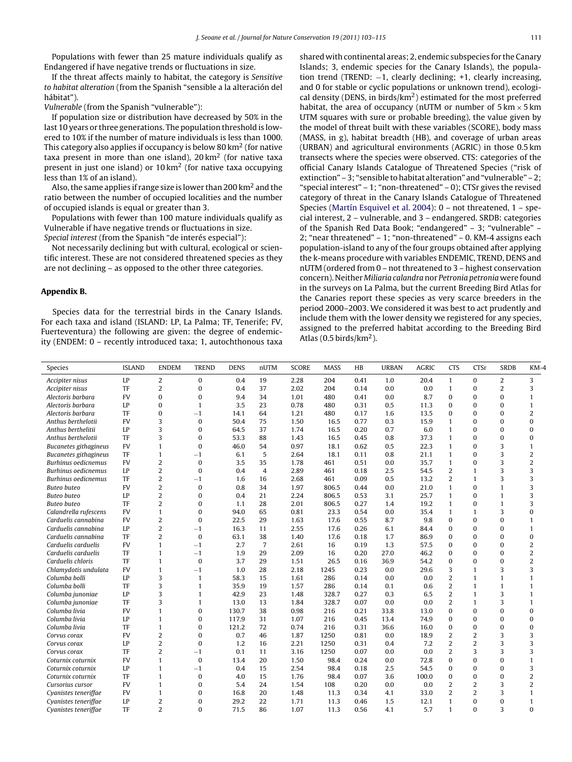<span id="page-8-0"></span>Populations with fewer than 25 mature individuals qualify as Endangered if have negative trends or fluctuations in size.

If the threat affects mainly to habitat, the category is Sensitive to habitat alteration (from the Spanish "sensible a la alteración del hábitat").

Vulnerable (from the Spanish "vulnerable"):

If population size or distribution have decreased by 50% in the last 10 years or three generations. The population threshold is lowered to 10% if the number of mature individuals is less than 1000. This category also applies if occupancy is below 80  $km<sup>2</sup>$  (for native taxa present in more than one island),  $20 \text{ km}^2$  (for native taxa present in just one island) or 10 km2 (for native taxa occupying less than 1% of an island).

Also, the same applies if range size is lower than 200 km2 and the ratio between the number of occupied localities and the number of occupied islands is equal or greater than 3.

Populations with fewer than 100 mature individuals qualify as Vulnerable if have negative trends or fluctuations in size. Special interest (from the Spanish "de interés especial"):

Not necessarily declining but with cultural, ecological or scientific interest. These are not considered threatened species as they are not declining – as opposed to the other three categories.

#### **Appendix B.**

Species data for the terrestrial birds in the Canary Islands. For each taxa and island (ISLAND: LP, La Palma; TF, Tenerife; FV, Fuerteventura) the following are given: the degree of endemicity (ENDEM: 0 – recently introduced taxa; 1, autochthonous taxa shared with continental areas; 2, endemic subspecies for the Canary Islands; 3, endemic species for the Canary Islands), the population trend (TREND: −1, clearly declining; +1, clearly increasing, and 0 for stable or cyclic populations or unknown trend), ecological density (DENS, in birds/ $km<sup>2</sup>$ ) estimated for the most preferred habitat, the area of occupancy (nUTM or number of  $5 \text{ km} \times 5 \text{ km}$ ) UTM squares with sure or probable breeding), the value given by the model of threat built with these variables (SCORE), body mass (MASS, in g), habitat breadth (HB), and coverage of urban areas (URBAN) and agricultural environments (AGRIC) in those 0.5 km transects where the species were observed. CTS: categories of the official Canary Islands Catalogue of Threatened Species ("risk of extinction" – 3; "sensible to habitat alteration" and "vulnerable" – 2; "special interest" – 1; "non-threatened" – 0); CTSr gives the revised category of threat in the Canary Islands Catalogue of Threatened Species ([Martín Esquivel et al. 2004\):](#page-11-0) 0 – not threatened, 1 – special interest, 2 – vulnerable, and 3 – endangered. SRDB: categories of the Spanish Red Data Book; "endangered" – 3; "vulnerable" – 2; "near threatened" – 1; "non-threatened" – 0. KM-4 assigns each population-island to any of the four groups obtained after applying the k-means procedure with variables ENDEMIC, TREND, DENS and nUTM (ordered from 0 – not threatened to 3 – highest conservation concern). Neither Miliaria calandra nor Petronia petronia were found in the surveys on La Palma, but the current Breeding Bird Atlas for the Canaries report these species as very scarce breeders in the period 2000–2003. We considered it was best to act prudently and include them with the lower density we registered for any species, assigned to the preferred habitat according to the Breeding Bird Atlas (0.5 birds/ $km<sup>2</sup>$ ).

| Species               | <b>ISLAND</b> | <b>ENDEM</b>   | <b>TREND</b>   | <b>DENS</b> | nUTM           | <b>SCORE</b> | <b>MASS</b> | HB   | <b>URBAN</b> | <b>AGRIC</b> | <b>CTS</b>     | CTSr           | <b>SRDB</b>    | $KM-4$         |
|-----------------------|---------------|----------------|----------------|-------------|----------------|--------------|-------------|------|--------------|--------------|----------------|----------------|----------------|----------------|
| Accipiter nisus       | LP            | 2              | 0              | 0.4         | 19             | 2.28         | 204         | 0.41 | 1.0          | 20.4         | $\mathbf{1}$   | $\mathbf{0}$   | $\overline{2}$ | 3              |
| Accipiter nisus       | TF            | 2              | $\Omega$       | 0.4         | 37             | 2.02         | 204         | 0.14 | 0.0          | 0.0          | $\mathbf{1}$   | $\Omega$       | $\overline{2}$ | 3              |
| Alectoris barbara     | <b>FV</b>     | $\Omega$       | $\bf{0}$       | 9.4         | 34             | 1.01         | 480         | 0.41 | 0.0          | 8.7          | $\bf{0}$       | $\mathbf{0}$   | $\Omega$       | 1              |
| Alectoris barbara     | LP            | $\Omega$       | 1              | 3.5         | 23             | 0.78         | 480         | 0.31 | 0.5          | 11.3         | $\mathbf{0}$   | $\mathbf{0}$   | $\Omega$       | $\mathbf{1}$   |
| Alectoris barbara     | TF            | $\Omega$       | $-1$           | 14.1        | 64             | 1.21         | 480         | 0.17 | 1.6          | 13.5         | $\mathbf{0}$   | $\mathbf{0}$   | $\Omega$       | $\overline{2}$ |
| Anthus berthelotii    | <b>FV</b>     | 3              | 0              | 50.4        | 75             | 1.50         | 16.5        | 0.77 | 0.3          | 15.9         | $\mathbf{1}$   | $\Omega$       | $\Omega$       | $\theta$       |
| Anthus berthelitii    | LP            | 3              | 0              | 64.5        | 37             | 1.74         | 16.5        | 0.20 | 0.7          | 6.0          | $\mathbf{1}$   | $\mathbf{0}$   | $\bf{0}$       | 0              |
| Anthus berthelotii    | TF            | 3              | $\Omega$       | 53.3        | 88             | 1.43         | 16.5        | 0.45 | 0.8          | 37.3         | $\mathbf{1}$   | $\mathbf{0}$   | $\bf{0}$       | $\bf{0}$       |
| Bucanetes githagineus | <b>FV</b>     | 1              | $\bf{0}$       | 46.0        | 54             | 0.97         | 18.1        | 0.62 | 0.5          | 22.3         | $\mathbf{1}$   | $\mathbf{0}$   | 3              | 1              |
| Bucanetes githagineus | TF            | $\mathbf{1}$   | $-1$           | 6.1         | 5              | 2.64         | 18.1        | 0.11 | 0.8          | 21.1         | $\mathbf{1}$   | $\mathbf{0}$   | 3              | $\overline{2}$ |
| Burhinus oedicnemus   | <b>FV</b>     | 2              | 0              | 3.5         | 35             | 1.78         | 461         | 0.51 | 0.0          | 35.7         | $\mathbf{1}$   | $\mathbf{0}$   | 3              | $\overline{2}$ |
| Burhinus oedicnemus   | LP            | $\overline{2}$ | 0              | 0.4         | $\overline{4}$ | 2.89         | 461         | 0.18 | 2.5          | 54.5         | $\overline{2}$ | $\mathbf{1}$   | 3              | 3              |
| Burhinus oedicnemus   | TF            | $\overline{2}$ | $-1$           | 1.6         | 16             | 2.68         | 461         | 0.09 | 0.5          | 13.2         | $\overline{2}$ | 1              | 3              | 3              |
| Buteo buteo           | <b>FV</b>     | 2              | $\theta$       | 0.8         | 34             | 1.97         | 806.5       | 0.44 | 0.0          | 21.0         | $\mathbf{1}$   | $\Omega$       | 1              | 3              |
| Buteo buteo           | LP            | 2              | $\Omega$       | 0.4         | 21             | 2.24         | 806.5       | 0.53 | 3.1          | 25.7         | $\mathbf{1}$   | $\mathbf{0}$   | 1              | 3              |
| Buteo buteo           | TF            | $\overline{2}$ | $\overline{0}$ | 1.1         | 28             | 2.01         | 806.5       | 0.27 | 1.4          | 19.2         | $\mathbf{1}$   | $\mathbf{0}$   | $\mathbf{1}$   | 3              |
| Calandrella rufescens | <b>FV</b>     | $\mathbf{1}$   | $\Omega$       | 94.0        | 65             | 0.81         | 23.3        | 0.54 | 0.0          | 35.4         | $\mathbf{1}$   | 1              | 3              | $\bf{0}$       |
| Carduelis cannabina   | <b>FV</b>     | $\overline{2}$ | $\theta$       | 22.5        | 29             | 1.63         | 17.6        | 0.55 | 8.7          | 9.8          | $\mathbf{0}$   | $\mathbf{0}$   | $\Omega$       | 1              |
| Carduelis cannabina   | LP            | $\overline{2}$ | $-1$           | 16.3        | 11             | 2.55         | 17.6        | 0.26 | 6.1          | 84.4         | $\mathbf{0}$   | $\mathbf{0}$   | $\bf{0}$       | $\mathbf{1}$   |
| Carduelis cannabina   | TF            | $\overline{2}$ | $\bf{0}$       | 63.1        | 38             | 1.40         | 17.6        | 0.18 | 1.7          | 86.9         | $\mathbf{0}$   | $\mathbf{0}$   | $\Omega$       | $\bf{0}$       |
| Carduelis carduelis   | <b>FV</b>     | 1              | $-1$           | 2.7         | $\overline{7}$ | 2.61         | 16          | 0.19 | 1.3          | 57.5         | $\bf{0}$       | $\mathbf{0}$   | $\Omega$       | $\overline{c}$ |
| Carduelis carduelis   | TF            | $\mathbf{1}$   | $-1$           | 1.9         | 29             | 2.09         | 16          | 0.20 | 27.0         | 46.2         | $\mathbf{0}$   | $\mathbf{0}$   | $\Omega$       | 2              |
| Carduelis chloris     | TF            | $\mathbf{1}$   | $\bf{0}$       | 3.7         | 29             | 1.51         | 26.5        | 0.16 | 36.9         | 54.2         | $\mathbf{0}$   | $\mathbf{0}$   | $\bf{0}$       | $\overline{2}$ |
| Chlamydotis undulata  | <b>FV</b>     | $\mathbf{1}$   | $-1$           | 1.0         | 28             | 2.18         | 1245        | 0.23 | 0.0          | 29.6         | 3              | 1              | 3              | 3              |
| Columba bolli         | LP            | 3              | $\mathbf{1}$   | 58.3        | 15             | 1.61         | 286         | 0.14 | 0.0          | 0.0          | $\overline{2}$ | 1              | $\mathbf{1}$   | 1              |
| Columba bolli         | TF            | 3              | $\mathbf{1}$   | 35.9        | 19             | 1.57         | 286         | 0.14 | 0.1          | 0.6          | $\overline{2}$ | $\mathbf{1}$   | $\mathbf{1}$   | $\mathbf{1}$   |
| Columba junoniae      | LP            | 3              | $\mathbf{1}$   | 42.9        | 23             | 1.48         | 328.7       | 0.27 | 0.3          | 6.5          | $\overline{2}$ | 1              | 3              | $\mathbf{1}$   |
| Columba junoniae      | TF            | 3              | 1              | 13.0        | 13             | 1.84         | 328.7       | 0.07 | 0.0          | 0.0          | $\overline{2}$ | 1              | 3              | $\mathbf{1}$   |
| Columba livia         | <b>FV</b>     | 1              | $\bf{0}$       | 130.7       | 38             | 0.98         | 216         | 0.21 | 33.8         | 13.0         | $\bf{0}$       | $\mathbf{0}$   | $\Omega$       | $\theta$       |
| Columba livia         | LP            | $\mathbf{1}$   | $\bf{0}$       | 117.9       | 31             | 1.07         | 216         | 0.45 | 13.4         | 74.9         | $\mathbf{0}$   | $\mathbf{0}$   | $\Omega$       | $\bf{0}$       |
| Columba livia         | TF            | $\mathbf{1}$   | $\bf{0}$       | 121.2       | 72             | 0.74         | 216         | 0.31 | 36.6         | 16.0         | $\bf{0}$       | $\mathbf{0}$   | $\Omega$       | $\bf{0}$       |
| Corvus corax          | <b>FV</b>     | $\overline{2}$ | $\Omega$       | 0.7         | 46             | 1.87         | 1250        | 0.81 | 0.0          | 18.9         | $\overline{2}$ | $\overline{2}$ | 3              | 3              |
| Corvus corax          | LP            | $\overline{c}$ | $\bf{0}$       | 1.2         | 16             | 2.21         | 1250        | 0.31 | 0.4          | 7.2          | $\overline{2}$ | $\overline{2}$ | 3              | 3              |
| Corvus corax          | TF            | $\overline{2}$ | $-1$           | 0.1         | 11             | 3.16         | 1250        | 0.07 | 0.0          | 0.0          | $\overline{2}$ | 3              | 3              | 3              |
| Coturnix coturnix     | <b>FV</b>     | $\mathbf{1}$   | $\bf{0}$       | 13.4        | 20             | 1.50         | 98.4        | 0.24 | 0.0          | 72.8         | $\bf{0}$       | $\mathbf{0}$   | $\bf{0}$       | $\mathbf{1}$   |
| Coturnix coturnix     | LP            | $\mathbf{1}$   | $-1$           | 0.4         | 15             | 2.54         | 98.4        | 0.18 | 2.5          | 54.5         | $\mathbf{0}$   | $\mathbf{0}$   | $\bf{0}$       | 3              |
| Coturnix coturnix     | TF            | $\mathbf{1}$   | 0              | 4.0         | 15             | 1.76         | 98.4        | 0.07 | 3.6          | 100.0        | $\mathbf{0}$   | $\Omega$       | $\Omega$       | $\overline{c}$ |
| Cursorius cursor      | <b>FV</b>     | $\mathbf{1}$   | 0              | 5.4         | 24             | 1.54         | 108         | 0.20 | 0.0          | 0.0          | $\overline{2}$ | $\overline{2}$ | 3              | $\overline{2}$ |
| Cyanistes teneriffae  | <b>FV</b>     | $\mathbf{1}$   | 0              | 16.8        | 20             | 1.48         | 11.3        | 0.34 | 4.1          | 33.0         | $\overline{2}$ | $\overline{2}$ | 3              | $\mathbf{1}$   |
| Cyanistes teneriffae  | LP            | $\overline{2}$ | $\Omega$       | 29.2        | 22             | 1.71         | 11.3        | 0.46 | 1.5          | 12.1         | $\mathbf{1}$   | $\bf{0}$       | $\bf{0}$       | $\mathbf{1}$   |
| Cyanistes teneriffae  | TF            | 2              | $\theta$       | 71.5        | 86             | 1.07         | 11.3        | 0.56 | 4.1          | 5.7          | $\mathbf{1}$   | $\Omega$       | 3              | $\theta$       |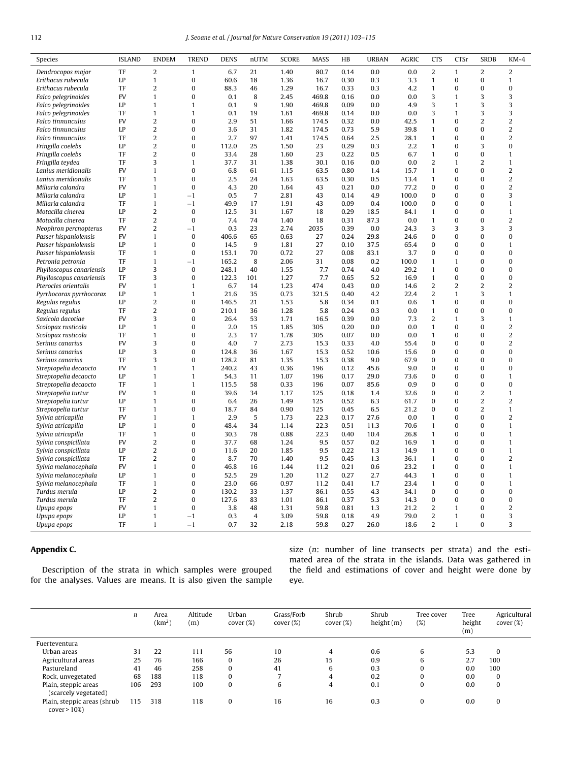<span id="page-9-0"></span>

| Species                                        | <b>ISLAND</b>   | <b>ENDEM</b>                 | <b>TREND</b>                 | <b>DENS</b>   | nUTM                 | <b>SCORE</b> | <b>MASS</b> | HB           | <b>URBAN</b> | <b>AGRIC</b> | <b>CTS</b>        | CTSr                 | <b>SRDB</b>              | KM-4                         |
|------------------------------------------------|-----------------|------------------------------|------------------------------|---------------|----------------------|--------------|-------------|--------------|--------------|--------------|-------------------|----------------------|--------------------------|------------------------------|
| Dendrocopos major                              | TF              | $\overline{2}$               | $\mathbf{1}$                 | 6.7           | 21                   | 1.40         | 80.7        | 0.14         | 0.0          | 0.0          | $\overline{2}$    | $\mathbf{1}$         | $\overline{2}$           | 2                            |
| Erithacus rubecula                             | LP              | $\mathbf{1}$                 | $\mathbf{0}$                 | 60.6          | 18                   | 1.36         | 16.7        | 0.30         | 0.3          | 3.3          | $\mathbf{1}$      | $\mathbf{0}$         | $\mathbf{0}$             | $\mathbf{1}$                 |
| Erithacus rubecula                             | TF              | $\overline{2}$               | $\bf{0}$                     | 88.3          | 46                   | 1.29         | 16.7        | 0.33         | 0.3          | 4.2          | $\mathbf{1}$      | $\bf{0}$             | $\mathbf{0}$             | $\mathbf{0}$                 |
| Falco pelegrinoides                            | <b>FV</b>       | $\mathbf{1}$                 | $\Omega$                     | 0.1           | 8                    | 2.45         | 469.8       | 0.16         | 0.0          | 0.0          | 3                 | $\mathbf{1}$         | 3                        | 3                            |
| Falco pelegrinoides                            | LP              | $\mathbf{1}$                 | $\mathbf{1}$                 | 0.1           | 9                    | 1.90         | 469.8       | 0.09         | 0.0          | 4.9          | 3                 | $\mathbf{1}$         | 3                        | 3                            |
| Falco pelegrinoides                            | TF              | $\mathbf{1}$                 | $\mathbf{1}$                 | 0.1           | 19                   | 1.61         | 469.8       | 0.14         | 0.0          | 0.0          | 3                 | 1                    | 3                        | 3                            |
| Falco tinnunculus                              | <b>FV</b>       | $\overline{\mathbf{c}}$      | $\bf{0}$                     | 2.9           | 51                   | 1.66         | 174.5       | 0.32         | 0.0          | 42.5         | $\mathbf{1}$      | $\bf{0}$             | $\overline{2}$           | 2                            |
| Falco tinnunculus                              | LP              | $\overline{2}$               | $\mathbf 0$                  | 3.6           | 31                   | 1.82         | 174.5       | 0.73         | 5.9          | 39.8         | $\mathbf{1}$      | $\bf{0}$             | $\mathbf{0}$             | $\overline{2}$               |
| <b>Falco tinnunculus</b>                       | TF              | $\overline{2}$               | $\bf{0}$                     | 2.7           | 97                   | 1.41         | 174.5       | 0.64         | 2.5          | 28.1         | $\mathbf{1}$      | $\bf{0}$             | $\mathbf{0}$             | $\overline{2}$               |
| Fringilla coelebs                              | LP              | $\overline{2}$               | $\bf{0}$                     | 112.0         | 25                   | 1.50         | 23          | 0.29         | 0.3          | 2.2          | $\mathbf{1}$      | $\bf{0}$             | 3                        | $\mathbf{0}$                 |
| Fringilla coelebs                              | TF              | $\overline{2}$               | $\bf{0}$                     | 33.4          | 28                   | 1.60         | 23          | 0.22         | 0.5          | 6.7          | $\mathbf{1}$      | 0                    | $\mathbf{0}$             | $\mathbf{1}$                 |
| Fringilla teydea                               | TF              | 3                            | $\mathbf{1}$                 | 37.7          | 31                   | 1.38         | 30.1        | 0.16         | 0.0          | 0.0          | $\overline{2}$    | $\mathbf{1}$         | $\overline{2}$           | $\mathbf{1}$                 |
| Lanius meridionalis                            | <b>FV</b>       | $\mathbf{1}$                 | $\bf{0}$                     | 6.8           | 61                   | 1.15         | 63.5        | 0.80         | 1.4          | 15.7         | $\mathbf{1}$      | $\bf{0}$             | $\mathbf{0}$             | $\overline{2}$               |
| Lanius meridionalis                            | TF              | $\mathbf{1}$                 | $\bf{0}$                     | 2.5           | 24                   | 1.63         | 63.5        | 0.30         | 0.5          | 13.4         | $\mathbf{1}$      | $\bf{0}$             | $\mathbf{0}$             | 2                            |
| Miliaria calandra                              | <b>FV</b>       | $\mathbf{1}$                 | $\bf{0}$                     | 4.3           | 20                   | 1.64         | 43          | 0.21         | 0.0          | 77.2         | $\pmb{0}$         | $\bf{0}$             | $\mathbf{0}$             | 2                            |
| Miliaria calandra                              | LP              | $\mathbf{1}$                 | $-1$                         | 0.5           | $\overline{7}$       | 2.81         | 43          | 0.14         | 4.9          | 100.0        | $\mathbf{0}$      | $\bf{0}$             | $\mathbf{0}$             | 3                            |
| Miliaria calandra                              | TF              | $\mathbf{1}$                 | $-1$                         | 49.9          | 17                   | 1.91         | 43          | 0.09         | 0.4          | 100.0        | $\bf{0}$          | $\bf{0}$             | $\Omega$                 | $\mathbf{1}$                 |
| Motacilla cinerea                              | LP              | $\overline{2}$               | $\bf{0}$                     | 12.5          | 31                   | 1.67         | 18          | 0.29         | 18.5         | 84.1         | $\mathbf{1}$      | $\bf{0}$             | $\mathbf{0}$             | $\mathbf{1}$                 |
| Motacilla cinerea                              | TF              | $\overline{2}$               | $\mathbf{0}$                 | 7.4           | 74                   | 1.40         | 18          | 0.31         | 87.3         | 0.0          | $\mathbf{1}$      | $\bf{0}$             | $\mathbf{0}$             | 2                            |
| Neophron percnopterus                          | FV              | $\overline{c}$               | $-1$                         | 0.3           | 23                   | 2.74         | 2035        | 0.39         | 0.0          | 24.3         | 3                 | 3                    | 3                        | 3                            |
| Passer hispaniolensis                          | <b>FV</b>       | $\mathbf{1}$                 | $\bf{0}$                     | 406.6         | 65                   | 0.63         | 27          | 0.24         | 29.8         | 24.6         | $\pmb{0}$         | $\bf{0}$             | $\mathbf{0}$             | $\mathbf{0}$                 |
| Passer hispaniolensis                          | LP              | $\mathbf{1}$                 | $\Omega$                     | 14.5          | 9                    | 1.81         | 27          | 0.10         | 37.5         | 65.4         | $\mathbf{0}$      | $\Omega$             | $\Omega$                 | $\mathbf{1}$                 |
| Passer hispaniolensis                          | TF              | $\mathbf{1}$                 | $\bf{0}$                     | 153.1         | 70                   | 0.72         | 27          | 0.08         | 83.1         | 3.7          | $\pmb{0}$         | $\bf{0}$             | $\bf{0}$                 | $\bf{0}$                     |
| Petronia petronia                              | TF              | $\mathbf{1}$                 | $^{-1}$                      | 165.2         | 8                    | 2.06         | 31          | 0.08         | 0.2          | 100.0        | $\mathbf{1}$      | 1                    | $\mathbf{0}$             | $\mathbf{0}$                 |
| Phylloscopus canariensis                       | LP              | 3                            | $\mathbf{0}$                 | 248.1         | 40                   | 1.55         | 7.7         | 0.74         | 4.0          | 29.2         | $\mathbf{1}$      | $\bf{0}$             | $\mathbf{0}$             | $\mathbf{0}$                 |
| Phylloscopus canariensis                       | TF              | 3                            | $\bf{0}$                     | 122.3         | 101                  | 1.27         | 7.7         | 0.65         | 5.2          | 16.9         | $\mathbf{1}$      | $\bf{0}$             | $\mathbf{0}$             | $\mathbf{0}$                 |
| Pterocles orientalis                           | <b>FV</b>       | $\mathbf{1}$                 | $\mathbf{1}$                 | 6.7           | 14                   | 1.23         | 474         | 0.43         | 0.0          | 14.6         | $\overline{2}$    | $\overline{2}$       | $\overline{2}$           | 2                            |
| Pyrrhocorax pyrrhocorax                        | LP              | $\mathbf{1}$                 | $\mathbf{1}$                 | 21.6          | 35                   | 0.73         | 321.5       | 0.40         | 4.2          | 22.4         | $\overline{2}$    | $\mathbf{1}$         | 3                        | $\mathbf{1}$                 |
| Regulus regulus                                | LP              | $\overline{2}$               | $\Omega$                     | 146.5         | 21                   | 1.53         | 5.8         | 0.34         | 0.1          | 0.6          | $\mathbf{1}$      | $\bf{0}$             | $\Omega$                 | $\mathbf{0}$                 |
| Regulus regulus                                | TF              | $\overline{\mathbf{c}}$      | 0                            | 210.1         | 36                   | 1.28         | 5.8         | 0.24         | 0.3          | 0.0          | $\mathbf{1}$      | 0                    | $\bf{0}$                 | $\bf{0}$                     |
| Saxicola dacotiae                              | <b>FV</b>       | 3                            | $\bf{0}$                     | 26.4          | 53                   | 1.71         | 16.5        | 0.39         | 0.0          | 7.3          | $\overline{2}$    | $\mathbf{1}$         | 3                        | $\mathbf{1}$                 |
| Scolopax rusticola                             | LP              | $\mathbf{1}$                 | $\bf{0}$                     | 2.0           | 15                   | 1.85         | 305         | 0.20         | 0.0          | 0.0          | $\mathbf{1}$      | $\bf{0}$             | $\mathbf{0}$             | 2                            |
| Scolopax rusticola                             | TF<br><b>FV</b> | $\mathbf{1}$                 | $\bf{0}$<br>$\mathbf 0$      | 2.3           | 17<br>$\overline{7}$ | 1.78         | 305         | 0.07         | 0.0          | 0.0          | $\mathbf{1}$      | $\bf{0}$             | $\mathbf{0}$             | 2                            |
| Serinus canarius                               |                 | 3<br>3                       | $\Omega$                     | 4.0           |                      | 2.73         | 15.3        | 0.33         | 4.0          | 55.4         | $\bf{0}$          | $\bf{0}$             | $\mathbf{0}$             | $\overline{2}$               |
| Serinus canarius                               | LP              |                              |                              | 124.8         | 36                   | 1.67         | 15.3        | 0.52         | 10.6         | 15.6         | $\mathbf{0}$      | $\bf{0}$             | $\mathbf{0}$             | $\mathbf{0}$                 |
| Serinus canarius                               | TF<br><b>FV</b> | 3                            | $\bf{0}$                     | 128.2         | 81                   | 1.35         | 15.3        | 0.38         | 9.0          | 67.9         | $\pmb{0}$         | $\bf{0}$<br>$\Omega$ | $\mathbf{0}$<br>$\Omega$ | 0                            |
| Streptopelia decaocto                          | LP              | $\mathbf{1}$<br>$\mathbf{1}$ | $\mathbf{1}$<br>$\mathbf{1}$ | 240.2<br>54.3 | 43<br>11             | 0.36<br>1.07 | 196<br>196  | 0.12<br>0.17 | 45.6<br>29.0 | 9.0<br>73.6  | $\mathbf{0}$<br>0 | $\Omega$             | $\Omega$                 | $\mathbf{0}$<br>$\mathbf{1}$ |
| Streptopelia decaocto<br>Streptopelia decaocto | TF              | $\mathbf{1}$                 | $\mathbf{1}$                 | 115.5         | 58                   | 0.33         | 196         | 0.07         | 85.6         | 0.9          | $\pmb{0}$         | $\bf{0}$             | $\mathbf{0}$             | $\mathbf{0}$                 |
| Streptopelia turtur                            | <b>FV</b>       | $\mathbf{1}$                 | $\bf{0}$                     | 39.6          | 34                   | 1.17         | 125         | 0.18         | 1.4          | 32.6         | $\mathbf{0}$      | $\bf{0}$             | $\overline{2}$           | $\mathbf{1}$                 |
| Streptopelia turtur                            | LP              | $\mathbf{1}$                 | $\bf{0}$                     | 6.4           | 26                   | 1.49         | 125         | 0.52         | 6.3          | 61.7         | $\pmb{0}$         | $\bf{0}$             | $\overline{2}$           | 2                            |
| Streptopelia turtur                            | TF              | $\mathbf{1}$                 | $\mathbf 0$                  | 18.7          | 84                   | 0.90         | 125         | 0.45         | 6.5          | 21.2         | $\mathbf{0}$      | $\bf{0}$             | $\overline{2}$           | $\mathbf{1}$                 |
| Sylvia atricapilla                             | FV              | $\mathbf{1}$                 | $\mathbf{1}$                 | 2.9           | 5                    | 1.73         | 22.3        | 0.17         | 27.6         | 0.0          | $\mathbf{1}$      | $\bf{0}$             | $\bf{0}$                 | $\overline{2}$               |
| Sylvia atricapilla                             | LP              | $\mathbf{1}$                 | $\bf{0}$                     | 48.4          | 34                   | 1.14         | 22.3        | 0.51         | 11.3         | 70.6         | $\mathbf{1}$      | $\bf{0}$             | $\mathbf{0}$             | $\mathbf{1}$                 |
| Sylvia atricapilla                             | TF              | $\mathbf{1}$                 | $\bf{0}$                     | 30.3          | 78                   | 0.88         | 22.3        | 0.40         | 10.4         | 26.8         | $\mathbf{1}$      | $\bf{0}$             | $\mathbf{0}$             | $\mathbf{1}$                 |
| Sylvia conspicillata                           | <b>FV</b>       | $\overline{2}$               | $\bf{0}$                     | 37.7          | 68                   | 1.24         | 9.5         | 0.57         | 0.2          | 16.9         | $\mathbf{1}$      | $\bf{0}$             | $\mathbf{0}$             | $\mathbf{1}$                 |
| Sylvia conspicillata                           | LP              | $\overline{2}$               | $\bf{0}$                     | 11.6          | 20                   | 1.85         | 9.5         | 0.22         | 1.3          | 14.9         | $\mathbf{1}$      | $\bf{0}$             | $\mathbf{0}$             | $\mathbf{1}$                 |
| Sylvia conspicillata                           | TF              | 2                            | $\bf{0}$                     | 8.7           | 70                   | 1.40         | 9.5         | 0.45         | 1.3          | 36.1         | $\mathbf{1}$      | $\bf{0}$             | $\mathbf{0}$             | $\overline{c}$               |
| Sylvia melanocephala                           | <b>FV</b>       | $\mathbf{1}$                 | $\bf{0}$                     | 46.8          | 16                   | 1.44         | 11.2        | 0.21         | 0.6          | 23.2         | $\mathbf{1}$      | $\bf{0}$             | $\mathbf{0}$             | $\mathbf{1}$                 |
| Sylvia melanocephala                           | LP              | $\mathbf{1}$                 | $\bf{0}$                     | 52.5          | 29                   | 1.20         | 11.2        | 0.27         | 2.7          | 44.3         | $\mathbf{1}$      | $\bf{0}$             | $\mathbf{0}$             | $\mathbf{1}$                 |
| Sylvia melanocephala                           | TF              | $\mathbf{1}$                 | $\bf{0}$                     | 23.0          | 66                   | 0.97         | 11.2        | 0.41         | 1.7          | 23.4         | $\mathbf{1}$      | $\bf{0}$             | $\mathbf{0}$             | $\mathbf{1}$                 |
| Turdus merula                                  | LP              | $\overline{2}$               | $\bf{0}$                     | 130.2         | 33                   | 1.37         | 86.1        | 0.55         | 4.3          | 34.1         | $\pmb{0}$         | $\bf{0}$             | $\mathbf{0}$             | $\mathbf{0}$                 |
| Turdus merula                                  | TF              | $\overline{2}$               | $\bf{0}$                     | 127.6         | 83                   | 1.01         | 86.1        | 0.37         | 5.3          | 14.3         | $\mathbf{0}$      | $\bf{0}$             | $\Omega$                 | $\mathbf{0}$                 |
| Upupa epops                                    | <b>FV</b>       | $\mathbf{1}$                 | $\bf{0}$                     | 3.8           | 48                   | 1.31         | 59.8        | 0.81         | 1.3          | 21.2         | $\overline{2}$    | $\mathbf{1}$         | $\mathbf{0}$             | $\overline{2}$               |
| Upupa epops                                    | LP              | $\mathbf{1}$                 | $^{-1}$                      | 0.3           | $\overline{4}$       | 3.09         | 59.8        | 0.18         | 4.9          | 79.0         | $\overline{2}$    | $\mathbf{1}$         | $\mathbf{0}$             | 3                            |
| Upupa epops                                    | TF              | $\mathbf{1}$                 | $-1$                         | 0.7           | 32                   | 2.18         | 59.8        | 0.27         | 26.0         | 18.6         | $\overline{2}$    | $\mathbf{1}$         | $\Omega$                 | 3                            |
|                                                |                 |                              |                              |               |                      |              |             |              |              |              |                   |                      |                          |                              |

## **Appendix C.**

Description of the strata in which samples were grouped for the analyses. Values are means. It is also given the sample

size (n: number of line transects per strata) and the estimated area of the strata in the islands. Data was gathered in the field and estimations of cover and height were done by eye.

|                                                | n   | Area<br>$\rm (km^2)$ | Altitude<br>(m) | Urban<br>cover (%) | Grass/Forb<br>cover (%) | Shrub<br>cover (%) | Shrub<br>height(m) | Tree cover<br>(%) | Tree<br>height<br>(m) | Agricultural<br>cover (%) |
|------------------------------------------------|-----|----------------------|-----------------|--------------------|-------------------------|--------------------|--------------------|-------------------|-----------------------|---------------------------|
| Fuerteventura                                  |     |                      |                 |                    |                         |                    |                    |                   |                       |                           |
| Urban areas                                    | 31  | 22                   | 111             | 56                 | 10                      | 4                  | 0.6                | 6                 | 5.3                   | $\Omega$                  |
| Agricultural areas                             | 25  | 76                   | 166             | $\Omega$           | 26                      | 15                 | 0.9                | 6                 | 2.7                   | 100                       |
| Pastureland                                    | 41  | 46                   | 258             | $\Omega$           | 41                      | 6                  | 0.3                | 0                 | 0.0                   | 100                       |
| Rock, unvegetated                              | 68  | 188                  | 118             | $\Omega$           |                         | 4                  | 0.2                | 0                 | 0.0                   | $\bf{0}$                  |
| Plain, steppic areas<br>(scarcely vegetated)   | 106 | 293                  | 100             | $\Omega$           | 6                       | 4                  | 0.1                | 0                 | 0.0                   | $\bf{0}$                  |
| Plain, steppic areas (shrub<br>$cover > 10\%)$ | 115 | 318                  | 118             | $\Omega$           | 16                      | 16                 | 0.3                | 0                 | 0.0                   | $\bf{0}$                  |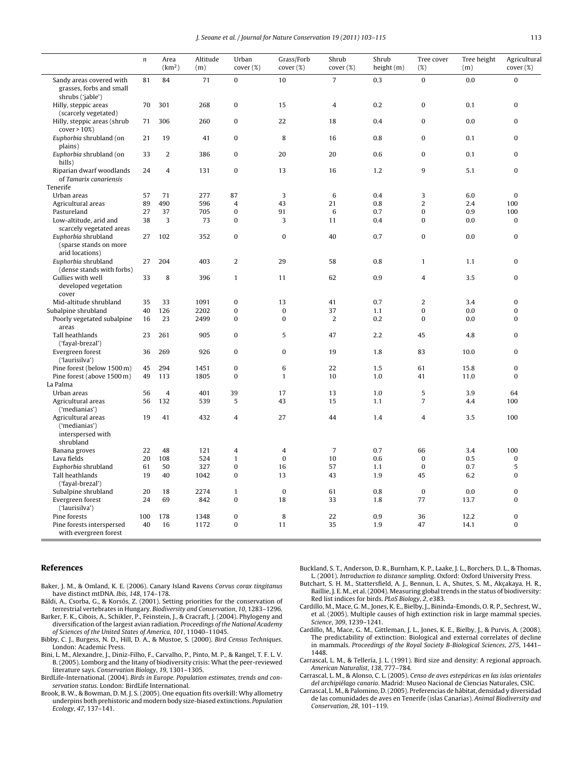J. Seoane et al. / Journal for Nature Conservation *19 (2011) 103–115* 113

<span id="page-10-0"></span>

|                                                                          | $\sqrt{n}$ | Area<br>(km <sup>2</sup> ) | Altitude<br>(m) | Urban<br>cover (%) | Grass/Forb<br>cover (%) | Shrub<br>cover (%) | Shrub<br>height $(m)$ | Tree cover<br>(%) | Tree height<br>(m) | Agricultural<br>cover (%) |
|--------------------------------------------------------------------------|------------|----------------------------|-----------------|--------------------|-------------------------|--------------------|-----------------------|-------------------|--------------------|---------------------------|
| Sandy areas covered with<br>grasses, forbs and small<br>shrubs ('jable') | 81         | 84                         | 71              | $\bf{0}$           | 10                      | $\overline{7}$     | 0.3                   | $\mathbf 0$       | 0.0                | $\mathbf{0}$              |
| Hilly, steppic areas<br>(scarcely vegetated)                             | 70         | 301                        | 268             | 0                  | 15                      | $\overline{4}$     | 0.2                   | $\pmb{0}$         | 0.1                | $\mathbf{0}$              |
| Hilly, steppic areas (shrub<br>$cover > 10\%)$                           | 71         | 306                        | 260             | 0                  | 22                      | 18                 | 0.4                   | $\pmb{0}$         | 0.0                | $\bf{0}$                  |
| Euphorbia shrubland (on<br>plains)                                       | 21         | 19                         | 41              | 0                  | 8                       | 16                 | 0.8                   | $\pmb{0}$         | 0.1                | $\mathbf{0}$              |
| Euphorbia shrubland (on<br>hills)                                        | 33         | 2                          | 386             | 0                  | 20                      | 20                 | 0.6                   | $\pmb{0}$         | 0.1                | $\bf{0}$                  |
| Riparian dwarf woodlands<br>of Tamarix canariensis                       | 24         | $\overline{4}$             | 131             | $\bf{0}$           | 13                      | 16                 | 1.2                   | 9                 | 5.1                | $\bf{0}$                  |
| Tenerife                                                                 |            |                            |                 |                    |                         |                    |                       |                   |                    |                           |
| Urban areas                                                              | 57         | 71                         | 277             | 87                 | 3                       | $\,6$              | 0.4                   | 3                 | 6.0                | $\bf{0}$                  |
| Agricultural areas                                                       | 89         | 490                        | 596             | $\overline{4}$     | 43                      | 21                 | 0.8                   | $\overline{2}$    | 2.4                | 100                       |
| Pastureland                                                              | 27         | 37                         | 705             | $\mathbf{0}$       | 91                      | 6                  | 0.7                   | $\bf{0}$          | 0.9                | 100                       |
| Low-altitude, arid and<br>scarcely vegetated areas                       | 38         | 3                          | 73              | $\bf{0}$           | 3                       | 11                 | 0.4                   | $\bf{0}$          | 0.0                | $\mathbf{0}$              |
| Euphorbia shrubland<br>(sparse stands on more<br>arid locations)         | 27         | 102                        | 352             | 0                  | $\bf{0}$                | 40                 | 0.7                   | $\pmb{0}$         | 0.0                | $\bf{0}$                  |
| Euphorbia shrubland<br>(dense stands with forbs)                         | 27         | 204                        | 403             | $\overline{2}$     | 29                      | 58                 | 0.8                   | $\mathbf{1}$      | 1.1                | $\mathbf{0}$              |
| Gullies with well<br>developed vegetation<br>cover                       | 33         | 8                          | 396             | $\mathbf{1}$       | 11                      | 62                 | 0.9                   | $\overline{4}$    | 3.5                | $\mathbf{0}$              |
| Mid-altitude shrubland                                                   | 35         | 33                         | 1091            | $\overline{0}$     | 13                      | 41                 | 0.7                   | $\overline{2}$    | 3.4                | $\mathbf{0}$              |
| Subalpine shrubland                                                      | 40         | 126                        | 2202            | 0                  | $\bf{0}$                | 37                 | 1.1                   | $\pmb{0}$         | 0.0                | $\Omega$                  |
| Poorly vegetated subalpine                                               | 16         | 23                         | 2499            | $\bf{0}$           | $\mathbf{0}$            | $\overline{2}$     | 0.2                   | $\bf{0}$          | 0.0                | $\bf{0}$                  |
| areas                                                                    |            |                            |                 |                    |                         |                    |                       |                   |                    |                           |
| Tall heathlands<br>('fayal-brezal')                                      | 23         | 261                        | 905             | 0                  | 5                       | 47                 | 2.2                   | 45                | 4.8                | $\bf{0}$                  |
| Evergreen forest<br>('laurisilva')                                       | 36         | 269                        | 926             | 0                  | 0                       | 19                 | 1.8                   | 83                | 10.0               | $\bf{0}$                  |
| Pine forest (below 1500 m)                                               | 45         | 294                        | 1451            | 0                  | 6                       | 22                 | 1.5                   | 61                | 15.8               | $\bf{0}$                  |
| Pine forest (above 1500 m)                                               | 49         | 113                        | 1805            | 0                  | $\mathbf{1}$            | 10                 | 1.0                   | 41                | 11.0               | $\mathbf{0}$              |
| La Palma                                                                 |            |                            |                 |                    |                         |                    |                       |                   |                    |                           |
| Urban areas                                                              | 56         | $\overline{4}$             | 401             | 39                 | 17                      | 13                 | 1.0                   | 5                 | 3.9                | 64                        |
| Agricultural areas<br>('medianias')                                      | 56         | 132                        | 539             | 5                  | 43                      | 15                 | 1.1                   | $\overline{7}$    | 4.4                | 100                       |
| Agricultural areas<br>('medianias')<br>interspersed with<br>shrubland    | 19         | 41                         | 432             | 4                  | 27                      | 44                 | 1.4                   | $\overline{4}$    | 3.5                | 100                       |
| Banana groves                                                            | 22         | 48                         | 121             | 4                  | 4                       | $\overline{7}$     | 0.7                   | 66                | 3.4                | 100                       |
| Lava fields                                                              | 20         | 108                        | 524             | $\mathbf{1}$       | $\mathbf{0}$            | 10                 | 0.6                   | $\mathbf{0}$      | 0.5                | $\bf{0}$                  |
| Euphorbia shrubland                                                      | 61         | 50                         | 327             | 0                  | 16                      | 57                 | 1.1                   | $\pmb{0}$         | 0.7                | 5                         |
| Tall heathlands<br>('fayal-brezal')                                      | 19         | 40                         | 1042            | $\bf{0}$           | 13                      | 43                 | 1.9                   | 45                | 6.2                | $\bf{0}$                  |
| Subalpine shrubland                                                      | 20         | 18                         | 2274            | $\mathbf{1}$       | $\bf{0}$                | 61                 | 0.8                   | $\bf{0}$          | 0.0                | $\bf{0}$                  |
| Evergreen forest<br>('laurisilva')                                       | 24         | 69                         | 842             | 0                  | 18                      | 33                 | 1.8                   | 77                | 13.7               | $\bf{0}$                  |
| Pine forests                                                             | 100        | 178                        | 1348            | $\mathbf{0}$       | 8                       | 22                 | 0.9                   | 36                | 12.2               | $\mathbf 0$               |
| Pine forests interspersed<br>with evergreen forest                       | 40         | 16                         | 1172            | $\bf{0}$           | 11                      | 35                 | 1.9                   | 47                | 14.1               | $\bf{0}$                  |

## **References**

Baker, J. M., & Omland, K. E. (2006). Canary Island Ravens Corvus corax tingitanus have distinct mtDNA. Ibis, 148, 174-178.

- Báldi, A., Csorba, G., & Korsós, Z. (2001). Setting priorities for the conservation of terrestrial vertebrates in Hungary. Biodiversity and Conservation, 10, 1283–1296.
- Barker, F. K., Cibois, A., Schikler, P., Feinstein, J., & Cracraft, J. (2004). Phylogeny and diversification of the largest avian radiation. Proceedings of the National Academy of Sciences of the United States of America, 101, 11040–11045.
- Bibby, C. J., Burgess, N. D., Hill, D. A., & Mustoe, S. (2000). Bird Census Techniques. London: Academic Press.
- Bini, L. M., Alexandre, J., Diniz-Filho, F., Carvalho, P., Pinto, M. P., & Rangel, T. F. L. V. B. (2005). Lomborg and the litany of biodiversity crisis: What the peer-reviewed literature says. Conservation Biology, 19, 1301–1305.
- BirdLife-International. (2004). Birds in Europe. Population estimates, trends and conservation status. London: BirdLife International.
- Brook, B. W., & Bowman, D. M. J. S. (2005). One equation fits overkill: Why allometry underpins both prehistoric and modern body size-biased extinctions. Population Ecology, 47, 137–141.

Buckland, S. T., Anderson, D. R., Burnham, K. P., Laake, J. L., Borchers, D. L., & Thomas, L. (2001). Introduction to distance sampling. Oxford: Oxford University Press.

- Butchart, S. H. M., Stattersfield, A. J., Bennun, L. A., Shutes, S. M., Akçakaya, H. R., Baillie, J. E. M., et al. (2004). Measuring global trends in the status of biodiversity: Red list indices for birds. PLoS Biology, 2, e383.
- Cardillo, M., Mace, G. M., Jones, K. E., Bielby, J., Bininda-Emonds, O. R. P., Sechrest, W., et al. (2005). Multiple causes of high extinction risk in large mammal species. Science, 309, 1239–1241.
- Cardillo, M., Mace, G. M., Gittleman, J. L., Jones, K. E., Bielby, J., & Purvis, A. (2008). The predictability of extinction: Biological and external correlates of decline in mammals. Proceedings of the Royal Society B-Biological Sciences, 275, 1441– 1448.
- Carrascal, L. M., & Tellería, J. L. (1991). Bird size and density: A regional approach. American Naturalist, 138, 777–784.
- Carrascal, L. M., & Alonso, C. L. (2005). Censo de aves estepáricas en las islas orientales del archipiélago canario. Madrid: Museo Nacional de Ciencias Naturales, CSIC.
- Carrascal, L. M., & Palomino, D. (2005). Preferencias de hábitat, densidad y diversidad de las comunidades de aves en Tenerife (islas Canarias). Animal Biodiversity and Conservation, 28, 101–119.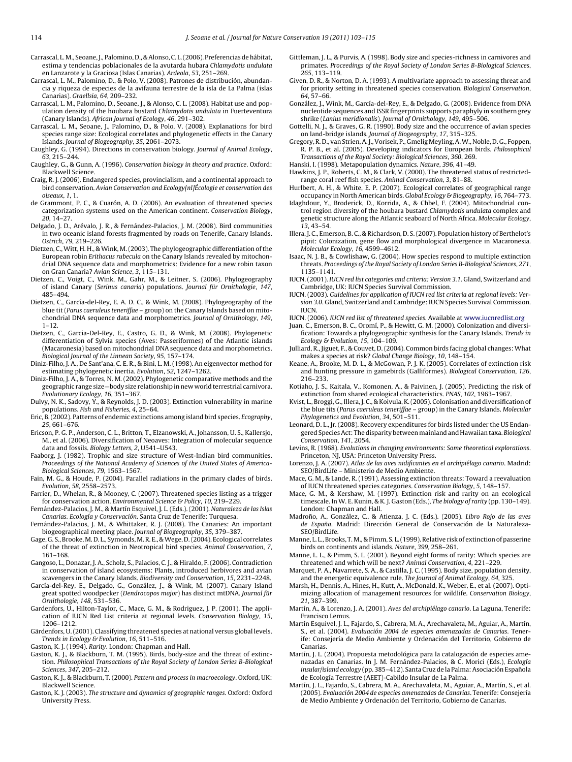- <span id="page-11-0"></span>Carrascal, L.M., Seoane, J., Palomino, D., & Alonso, C. L. (2006). Preferencias de hábitat, estima y tendencias poblacionales de la avutarda hubara Chlamydotis undulata en Lanzarote y la Graciosa (Islas Canarias). Ardeola, 53, 251–269.
- Carrascal, L. M., Palomino, D., & Polo, V. (2008). Patrones de distribución, abundancia y riqueza de especies de la avifauna terrestre de la isla de La Palma (islas Canarias). Graellsia, 64, 209–232.
- Carrascal, L. M., Palomino, D., Seoane, J., & Alonso, C. L. (2008). Habitat use and population density of the houbara bustard Chlamydotis undulata in Fuerteventura (Canary Islands). African Journal of Ecology, 46, 291–302.
- Carrascal, L. M., Seoane, J., Palomino, D., & Polo, V. (2008). Explanations for bird species range size: Ecological correlates and phylogenetic effects in the Canary Islands. Journal of Biogeography, 35, 2061–2073.
- Caughley, G. (1994). Directions in conservation biology. Journal of Animal Ecology, 63, 215–244.
- Caughley, G., & Gunn, A. (1996). Conservation biology in theory and practice. Oxford: Blackwell Science.
- Craig, R. J. (2006). Endangered species, provincialism, and a continental approach to bird conservation. Avian Conservation and Ecology[nl]Écologie et conservation des oiseaux, 1, 1.
- de Grammont, P. C., & Cuarón, A. D. (2006). An evaluation of threatened species categorization systems used on the American continent. Conservation Biology, 20, 14–27.
- Delgado, J. D., Arévalo, J. R., & Fernández-Palacios, J. M. (2008). Bird communities in two oceanic island forests fragmented by roads on Tenerife, Canary Islands. Ostrich, 79, 219–226.
- Dietzen, C., Witt, H. H., & Wink, M. (2003). The phylogeographic differentiation of the European robin Erithacus rubecula on the Canary Islands revealed by mitochondrial DNA sequence data and morphometrics: Evidence for a new robin taxon on Gran Canaria? Avian Science, 3, 115–131.
- Dietzen, C., Voigt, C., Wink, M., Gahr, M., & Leitner, S. (2006). Phylogeography of island Canary (Serinus canaria) populations. Journal für Ornithologie, 147, 485–494.
- Dietzen, C., García-del-Rey, E. A. D. C., & Wink, M. (2008). Phylogeography of the blue tit (Parus caeruleus teneriffae – group) on the Canary Islands based on mitochondrial DNA sequence data and morphometrics. Journal of Ornithology, 149,  $1 - 12$
- Dietzen, C., Garcia-Del-Rey, E., Castro, G. D., & Wink, M. (2008). Phylogenetic differentiation of Sylvia species (Aves: Passeriformes) of the Atlantic islands (Macaronesia) based on mitochondrial DNA sequence data and morphometrics. Biological Journal of the Linnean Society, 95, 157–174.
- Diniz-Filho, J. A., De Sant'ana, C. E. R., & Bini, L. M. (1998). An eigenvector method for estimating phylogenetic inertia. Evolution, 52, 1247–1262.
- Diniz-Filho, J. A., & Torres, N. M. (2002). Phylogenetic comparative methods and the geographic range size—body size relationship in new world terrestrial carnivora. Evolutionary Ecology, 16, 351–367.
- Dulvy, N. K., Sadovy, Y., & Reynolds, J. D. (2003). Extinction vulnerability in marine populations. Fish and Fisheries, 4, 25–64.
- Eric, B. (2002). Patterns of endemic extinctions among island bird species. Ecography, 25, 661–676.
- Ericson, P. G. P., Anderson, C. L., Britton, T., Elzanowski, A., Johansson, U. S., Kallersjo, M., et al. (2006). Diversification of Neoaves: Integration of molecular sequence data and fossils. Biology Letters, 2, U541–U543.
- Faaborg, J. (1982). Trophic and size structure of West-Indian bird communities. Proceedings of the National Academy of Sciences of the United States of America-Biological Sciences, 79, 1563–1567.
- Fain, M. G., & Houde, P. (2004). Parallel radiations in the primary clades of birds. Evolution, 58, 2558–2573.
- Farrier, D., Whelan, R., & Mooney, C. (2007). Threatened species listing as a trigger for conservation action. Environmental Science & Policy, 10, 219–229.
- Fernández-Palacios, J. M., & Martín Esquivel, J. L. (Eds.). (2001). Naturaleza de las Islas Canarias. Ecología y Conservación. Santa Cruz de Tenerife: Turquesa.
- Fernández-Palacios, J. M., & Whittaker, R. J. (2008). The Canaries: An important biogeographical meeting place. Journal of Biogeography, 35, 379–387.
- Gage, G. S., Brooke, M. D. L., Symonds, M. R. E., & Wege, D. (2004). Ecological correlates of the threat of extinction in Neotropical bird species. Animal Conservation, 7, 161–168.
- Gangoso, L., Donazar, J. A., Scholz, S., Palacios, C. J., & Hiraldo, F. (2006). Contradiction in conservation of island ecosystems: Plants, introduced herbivores and avian scavengers in the Canary Islands. Biodiversity and Conservation, 15, 2231–2248.
- García-del-Rey, E., Delgado, G., González, J., & Wink, M. (2007). Canary Island great spotted woodpecker (Dendrocopos major) has distinct mtDNA. Journal für Ornithologie, 148, 531–536.
- Gardenfors, U., Hilton-Taylor, C., Mace, G. M., & Rodriguez, J. P. (2001). The application of IUCN Red List criteria at regional levels. Conservation Biology, 15, 1206–1212.
- Gärdenfors, U. (2001). Classifying threatened species at national versus global levels. Trends in Ecology & Evolution, 16, 511-516.
- Gaston, K. J. (1994). Rarity. London: Chapman and Hall.
- Gaston, K. J., & Blackburn, T. M. (1995). Birds, body-size and the threat of extinction. Philosophical Transactions of the Royal Society of London Series B-Biological Sciences, 347, 205–212.
- Gaston, K. J., & Blackburn, T. (2000). Pattern and process in macroecology. Oxford, UK: Blackwell Science.
- Gaston, K. J. (2003). The structure and dynamics of geographic ranges. Oxford: Oxford University Press.
- Gittleman, J. L., & Purvis, A. (1998). Body size and species-richness in carnivores and primates. Proceedings of the Royal Society of London Series B-Biological Sciences, 265, 113–119.
- Given, D. R., & Norton, D. A. (1993). A multivariate approach to assessing threat and for priority setting in threatened species conservation. Biological Conservation, 64, 57–66.
- González, J., Wink, M., García-del-Rey, E., & Delgado, G. (2008). Evidence from DNA nucleotide sequences and ISSR fingerprints supports paraphyly in southern grey shrike (Lanius meridionalis). Journal of Ornithology, 149, 495–506.
- Gottelli, N. J., & Graves, G. R. (1990). Body size and the occurrence of avian species on land-bridge islands. Journal of Biogeography, 17, 315–325.
- Gregory, R. D., van Strien, A. J., Vorisek, P., Gmelig Meyling, A.W., Noble, D. G., Foppen, R. P. B., et al. (2005). Developing indicators for European birds. Philosophical Transactions of the Royal Society: Biological Sciences, 360, 269.
- Hanski, I. (1998). Metapopulation dynamics. Nature, 396, 41–49.
- Hawkins, J. P., Roberts, C. M., & Clark, V. (2000). The threatened status of restrictedrange coral reef fish species. Animal Conservation, 3, 81–88.
- Hurlbert, A. H., & White, E. P. (2007). Ecological correlates of geographical range occupancy in North American birds. Global Ecology & Biogeography, 16, 764–773.
- Idaghdour, Y., Broderick, D., Korrida, A., & Chbel, F. (2004). Mitochondrial control region diversity of the houbara bustard Chlamydotis undulata complex and genetic structure along the Atlantic seaboard of North Africa. Molecular Ecology, 13, 43–54.
- Illera, J. C., Emerson, B. C., & Richardson, D. S. (2007). Population history of Berthelot's pipit: Colonization, gene flow and morphological divergence in Macaronesia. Molecular Ecology, 16, 4599–4612.
- Isaac, N. J. B., & Cowlishaw, G. (2004). How species respond to multiple extinction threats. Proceedings of the Royal Society of London Series B-Biological Sciences, 271, 1135–1141.
- IUCN. (2001). IUCN red list categories and criteria: Version 3.1. Gland, Switzerland and Cambridge, UK: IUCN Species Survival Commission.
- IUCN. (2003). Guidelines for application of IUCN red list criteria at regional levels: Version 3.0. Gland, Switzerland and Cambridge: IUCN Species Survival Commission. IUCN.
- IUCN. (2006). IUCN red list of threatened species. Available at [www.iucnredlist.org](http://www.iucnredlist.org/)
- Juan, C., Emerson, B. C., Oromí, P., & Hewitt, G. M. (2000). Colonization and diversification: Towards a phylogeographic synthesis for the Canary Islands. Trends in Ecology & Evolution, 15, 104–109.
- Julliard, R., Jiguet, F., & Couvet, D. (2004). Common birds facing global changes: What makes a species at risk? Global Change Biology, 10, 148-154.
- Keane, A., Brooke, M. D. L., & McGowan, P. J. K. (2005). Correlates of extinction risk and hunting pressure in gamebirds (Galliformes). Biological Conservation, 126, 216–233.
- Kotiaho, J. S., Kaitala, V., Komonen, A., & Paivinen, J. (2005). Predicting the risk of extinction from shared ecological characteristics. PNAS, 102, 1963–1967.
- Kvist, L., Broggi, G., Illera, J. C., & Koivula, K. (2005). Colonisation and diversification of the blue tits (Parus caeruleus teneriffae – group) in the Canary Islands. Molecular Phylogenetics and Evolution, 34, 501–511.
- Leonard, D. L., Jr. (2008). Recovery expenditures for birds listed under the US Endangered Species Act: The disparity between mainland and Hawaiian taxa. Biological Conservation, 141, 2054.
- Levins, R. (1968). Evolutions in changing environments: Some theoretical explorations. Princeton, NJ, USA: Princeton University Press.
- Lorenzo, J. A. (2007). Atlas de las aves nidificantes en el archipiélago canario. Madrid: SEO/BirdLife – Ministerio de Medio Ambiente.
- Mace, G. M., & Lande, R. (1991). Assessing extinction threats: Toward a reevaluation of IUCN threatened species categories. Conservation Biology, 5, 148–157.
- Mace, G. M., & Kershaw, M. (1997). Extinction risk and rarity on an ecological timescale. In W. E. Kunin, & K. J. Gaston (Eds.), The biology of rarity (pp. 130–149). London: Chapman and Hall.
- Madroño, A., González, C., & Atienza, J. C. (Eds.). (2005). Libro Rojo de las aves de España. Madrid: Dirección General de Conservación de la Naturaleza-SEO/BirdLife.
- Manne, L. L., Brooks, T. M., & Pimm, S. L. (1999). Relative risk of extinction of passerine birds on continents and islands. Nature, 399, 258–261.
- Manne, L. L., & Pimm, S. L. (2001). Beyond eight forms of rarity: Which species are threatened and which will be next? Animal Conservation, 4, 221–229.
- Marquet, P. A., Navarrete, S. A., & Castilla, J. C. (1995). Body size, population density, and the energetic equivalence rule. The Journal of Animal Ecology, 64, 325.
- Marsh, H., Dennis, A., Hines, H., Kutt, A., McDonald, K., Weber, E., et al. (2007). Optimizing allocation of management resources for wildlife. Conservation Biology, 21, 387–399.
- Martín, A., & Lorenzo, J. A. (2001). Aves del archipiélago canario. La Laguna, Tenerife: Francisco Lemus.
- Martín Esquivel, J. L., Fajardo, S., Cabrera, M. A., Arechavaleta, M., Aguiar, A., Martín, S., et al. (2004). Evaluación 2004 de especies amenazadas de Canarias. Tenerife: Consejería de Medio Ambiente y Ordenación del Territorio, Gobierno de **Canarias**
- Martín, J. L. (2004). Propuesta metodológica para la catalogación de especies amenazadas en Canarias. In J. M. Fernández-Palacios, & C. Morici (Eds.), Ecología insular/island ecology (pp. 385-412). Santa Cruz de la Palma: Asociación Española de Ecología Terrestre (AEET)-Cabildo Insular de La Palma.
- Martín, J. L., Fajardo, S., Cabrera, M. A., Arechavaleta, M., Aguiar, A., Martín, S., et al. (2005). Evaluación 2004 de especies amenazadas de Canarias. Tenerife: Consejería de Medio Ambiente y Ordenación del Territorio, Gobierno de Canarias.